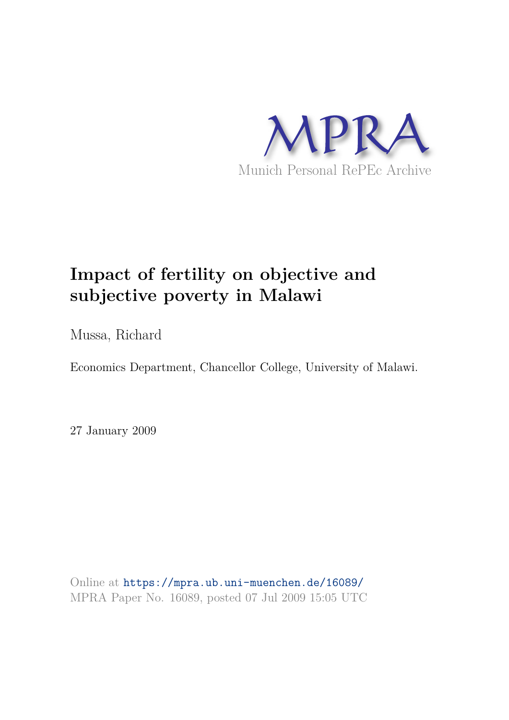

# **Impact of fertility on objective and subjective poverty in Malawi**

Mussa, Richard

Economics Department, Chancellor College, University of Malawi.

27 January 2009

Online at https://mpra.ub.uni-muenchen.de/16089/ MPRA Paper No. 16089, posted 07 Jul 2009 15:05 UTC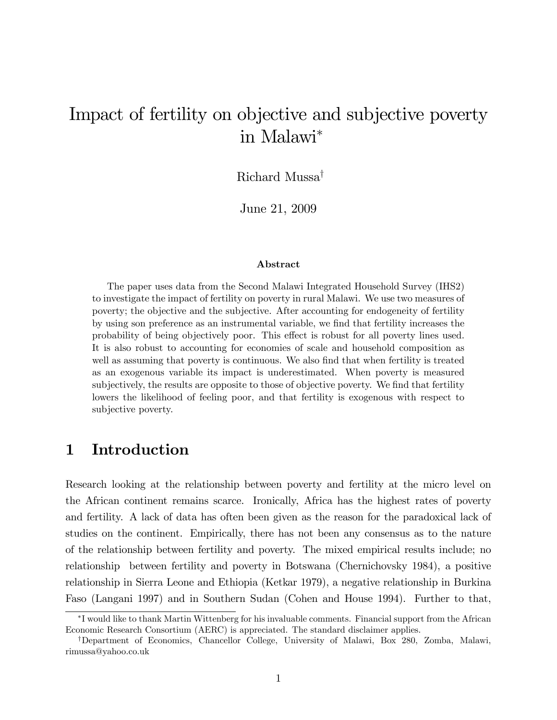# Impact of fertility on objective and subjective poverty in Malawi

Richard Mussa<sup>†</sup>

June 21, 2009

#### Abstract

The paper uses data from the Second Malawi Integrated Household Survey (IHS2) to investigate the impact of fertility on poverty in rural Malawi. We use two measures of poverty; the objective and the subjective. After accounting for endogeneity of fertility by using son preference as an instrumental variable, we find that fertility increases the probability of being objectively poor. This effect is robust for all poverty lines used. It is also robust to accounting for economies of scale and household composition as well as assuming that poverty is continuous. We also find that when fertility is treated as an exogenous variable its impact is underestimated. When poverty is measured subjectively, the results are opposite to those of objective poverty. We find that fertility lowers the likelihood of feeling poor, and that fertility is exogenous with respect to subjective poverty.

# 1 Introduction

Research looking at the relationship between poverty and fertility at the micro level on the African continent remains scarce. Ironically, Africa has the highest rates of poverty and fertility. A lack of data has often been given as the reason for the paradoxical lack of studies on the continent. Empirically, there has not been any consensus as to the nature of the relationship between fertility and poverty. The mixed empirical results include; no relationship between fertility and poverty in Botswana (Chernichovsky 1984), a positive relationship in Sierra Leone and Ethiopia (Ketkar 1979), a negative relationship in Burkina Faso (Langani 1997) and in Southern Sudan (Cohen and House 1994). Further to that,

I would like to thank Martin Wittenberg for his invaluable comments. Financial support from the African Economic Research Consortium (AERC) is appreciated. The standard disclaimer applies.

<sup>&</sup>lt;sup>†</sup>Department of Economics, Chancellor College, University of Malawi, Box 280, Zomba, Malawi, rimussa@yahoo.co.uk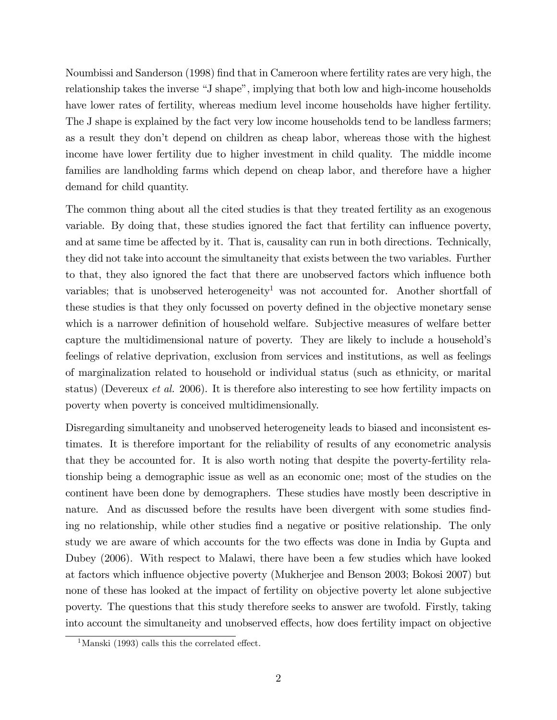Noumbissi and Sanderson (1998) Önd that in Cameroon where fertility rates are very high, the relationship takes the inverse "J shape", implying that both low and high-income households have lower rates of fertility, whereas medium level income households have higher fertility. The J shape is explained by the fact very low income households tend to be landless farmers; as a result they donít depend on children as cheap labor, whereas those with the highest income have lower fertility due to higher investment in child quality. The middle income families are landholding farms which depend on cheap labor, and therefore have a higher demand for child quantity.

The common thing about all the cited studies is that they treated fertility as an exogenous variable. By doing that, these studies ignored the fact that fertility can influence poverty, and at same time be affected by it. That is, causality can run in both directions. Technically, they did not take into account the simultaneity that exists between the two variables. Further to that, they also ignored the fact that there are unobserved factors which ináuence both variables; that is unobserved heterogeneity<sup>1</sup> was not accounted for. Another shortfall of these studies is that they only focussed on poverty defined in the objective monetary sense which is a narrower definition of household welfare. Subjective measures of welfare better capture the multidimensional nature of poverty. They are likely to include a household's feelings of relative deprivation, exclusion from services and institutions, as well as feelings of marginalization related to household or individual status (such as ethnicity, or marital status) (Devereux et al. 2006). It is therefore also interesting to see how fertility impacts on poverty when poverty is conceived multidimensionally.

Disregarding simultaneity and unobserved heterogeneity leads to biased and inconsistent estimates. It is therefore important for the reliability of results of any econometric analysis that they be accounted for. It is also worth noting that despite the poverty-fertility relationship being a demographic issue as well as an economic one; most of the studies on the continent have been done by demographers. These studies have mostly been descriptive in nature. And as discussed before the results have been divergent with some studies finding no relationship, while other studies find a negative or positive relationship. The only study we are aware of which accounts for the two effects was done in India by Gupta and Dubey (2006). With respect to Malawi, there have been a few studies which have looked at factors which ináuence objective poverty (Mukherjee and Benson 2003; Bokosi 2007) but none of these has looked at the impact of fertility on objective poverty let alone subjective poverty. The questions that this study therefore seeks to answer are twofold. Firstly, taking into account the simultaneity and unobserved effects, how does fertility impact on objective

 $1$ Manski (1993) calls this the correlated effect.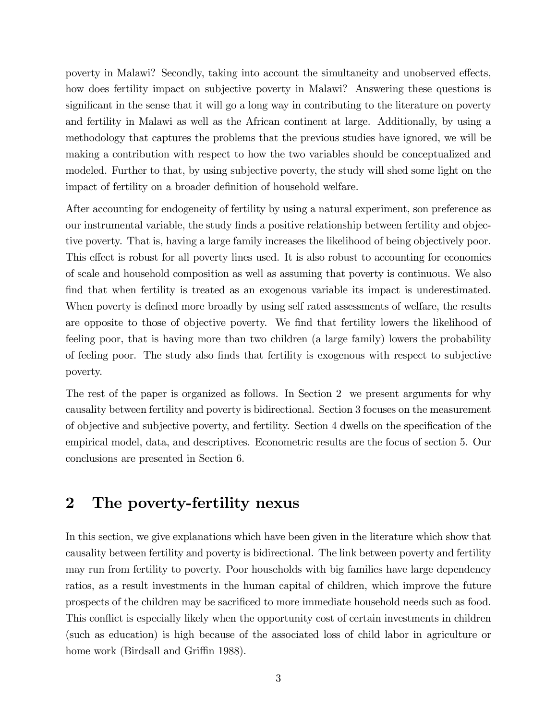poverty in Malawi? Secondly, taking into account the simultaneity and unobserved effects, how does fertility impact on subjective poverty in Malawi? Answering these questions is significant in the sense that it will go a long way in contributing to the literature on poverty and fertility in Malawi as well as the African continent at large. Additionally, by using a methodology that captures the problems that the previous studies have ignored, we will be making a contribution with respect to how the two variables should be conceptualized and modeled. Further to that, by using subjective poverty, the study will shed some light on the impact of fertility on a broader definition of household welfare.

After accounting for endogeneity of fertility by using a natural experiment, son preference as our instrumental variable, the study finds a positive relationship between fertility and objective poverty. That is, having a large family increases the likelihood of being objectively poor. This effect is robust for all poverty lines used. It is also robust to accounting for economies of scale and household composition as well as assuming that poverty is continuous. We also find that when fertility is treated as an exogenous variable its impact is underestimated. When poverty is defined more broadly by using self rated assessments of welfare, the results are opposite to those of objective poverty. We find that fertility lowers the likelihood of feeling poor, that is having more than two children (a large family) lowers the probability of feeling poor. The study also Önds that fertility is exogenous with respect to subjective poverty.

The rest of the paper is organized as follows. In Section 2 we present arguments for why causality between fertility and poverty is bidirectional. Section 3 focuses on the measurement of objective and subjective poverty, and fertility. Section 4 dwells on the specification of the empirical model, data, and descriptives. Econometric results are the focus of section 5. Our conclusions are presented in Section 6.

# 2 The poverty-fertility nexus

In this section, we give explanations which have been given in the literature which show that causality between fertility and poverty is bidirectional. The link between poverty and fertility may run from fertility to poverty. Poor households with big families have large dependency ratios, as a result investments in the human capital of children, which improve the future prospects of the children may be sacrificed to more immediate household needs such as food. This conflict is especially likely when the opportunity cost of certain investments in children (such as education) is high because of the associated loss of child labor in agriculture or home work (Birdsall and Griffin 1988).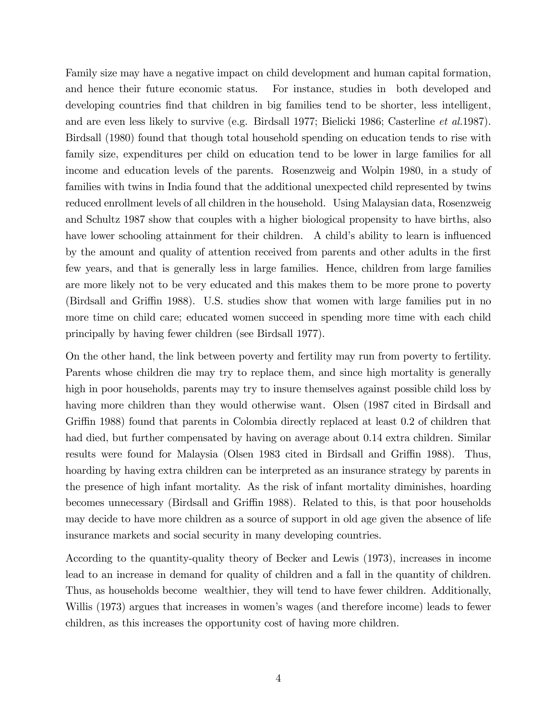Family size may have a negative impact on child development and human capital formation, and hence their future economic status. For instance, studies in both developed and developing countries find that children in big families tend to be shorter, less intelligent, and are even less likely to survive (e.g. Birdsall 1977; Bielicki 1986; Casterline et al.1987). Birdsall (1980) found that though total household spending on education tends to rise with family size, expenditures per child on education tend to be lower in large families for all income and education levels of the parents. Rosenzweig and Wolpin 1980, in a study of families with twins in India found that the additional unexpected child represented by twins reduced enrollment levels of all children in the household. Using Malaysian data, Rosenzweig and Schultz 1987 show that couples with a higher biological propensity to have births, also have lower schooling attainment for their children. A child's ability to learn is influenced by the amount and quality of attention received from parents and other adults in the first few years, and that is generally less in large families. Hence, children from large families are more likely not to be very educated and this makes them to be more prone to poverty (Birdsall and Gri¢n 1988). U.S. studies show that women with large families put in no more time on child care; educated women succeed in spending more time with each child principally by having fewer children (see Birdsall 1977).

On the other hand, the link between poverty and fertility may run from poverty to fertility. Parents whose children die may try to replace them, and since high mortality is generally high in poor households, parents may try to insure themselves against possible child loss by having more children than they would otherwise want. Olsen (1987 cited in Birdsall and Griffin 1988) found that parents in Colombia directly replaced at least 0.2 of children that had died, but further compensated by having on average about 0.14 extra children. Similar results were found for Malaysia (Olsen 1983 cited in Birdsall and Griffin 1988). Thus, hoarding by having extra children can be interpreted as an insurance strategy by parents in the presence of high infant mortality. As the risk of infant mortality diminishes, hoarding becomes unnecessary (Birdsall and Griffin 1988). Related to this, is that poor households may decide to have more children as a source of support in old age given the absence of life insurance markets and social security in many developing countries.

According to the quantity-quality theory of Becker and Lewis (1973), increases in income lead to an increase in demand for quality of children and a fall in the quantity of children. Thus, as households become wealthier, they will tend to have fewer children. Additionally, Willis (1973) argues that increases in women's wages (and therefore income) leads to fewer children, as this increases the opportunity cost of having more children.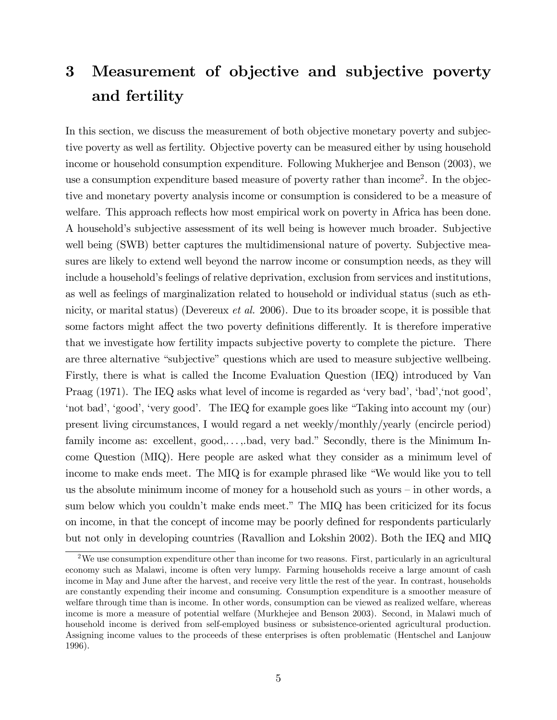# 3 Measurement of objective and subjective poverty and fertility

In this section, we discuss the measurement of both objective monetary poverty and subjective poverty as well as fertility. Objective poverty can be measured either by using household income or household consumption expenditure. Following Mukherjee and Benson (2003), we use a consumption expenditure based measure of poverty rather than income<sup>2</sup>. In the objective and monetary poverty analysis income or consumption is considered to be a measure of welfare. This approach reflects how most empirical work on poverty in Africa has been done. A householdís subjective assessment of its well being is however much broader. Subjective well being (SWB) better captures the multidimensional nature of poverty. Subjective measures are likely to extend well beyond the narrow income or consumption needs, as they will include a household's feelings of relative deprivation, exclusion from services and institutions, as well as feelings of marginalization related to household or individual status (such as ethnicity, or marital status) (Devereux *et al.* 2006). Due to its broader scope, it is possible that some factors might affect the two poverty definitions differently. It is therefore imperative that we investigate how fertility impacts subjective poverty to complete the picture. There are three alternative "subjective" questions which are used to measure subjective wellbeing. Firstly, there is what is called the Income Evaluation Question (IEQ) introduced by Van Praag (1971). The IEQ asks what level of income is regarded as 'very bad', 'bad', 'not good', 'not bad', 'good', 'very good'. The IEQ for example goes like "Taking into account my (our) present living circumstances, I would regard a net weekly/monthly/yearly (encircle period) family income as: excellent,  $\text{good}, \ldots, \text{bad},$  very bad." Secondly, there is the Minimum Income Question (MIQ). Here people are asked what they consider as a minimum level of income to make ends meet. The MIQ is for example phrased like "We would like you to tell us the absolute minimum income of money for a household such as yours  $-$  in other words, a sum below which you couldn't make ends meet." The MIQ has been criticized for its focus on income, in that the concept of income may be poorly defined for respondents particularly but not only in developing countries (Ravallion and Lokshin 2002). Both the IEQ and MIQ

<sup>&</sup>lt;sup>2</sup>We use consumption expenditure other than income for two reasons. First, particularly in an agricultural economy such as Malawi, income is often very lumpy. Farming households receive a large amount of cash income in May and June after the harvest, and receive very little the rest of the year. In contrast, households are constantly expending their income and consuming. Consumption expenditure is a smoother measure of welfare through time than is income. In other words, consumption can be viewed as realized welfare, whereas income is more a measure of potential welfare (Murkhejee and Benson 2003). Second, in Malawi much of household income is derived from self-employed business or subsistence-oriented agricultural production. Assigning income values to the proceeds of these enterprises is often problematic (Hentschel and Lanjouw 1996).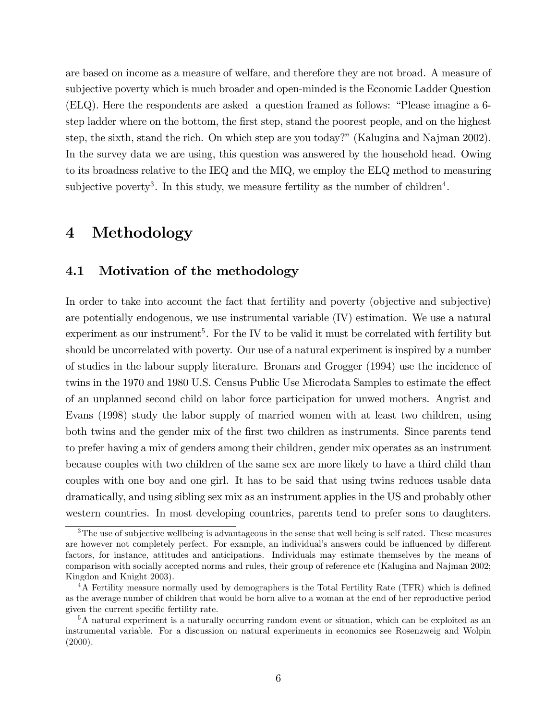are based on income as a measure of welfare, and therefore they are not broad. A measure of subjective poverty which is much broader and open-minded is the Economic Ladder Question  $(ELQ)$ . Here the respondents are asked a question framed as follows: "Please imagine a 6step ladder where on the bottom, the first step, stand the poorest people, and on the highest step, the sixth, stand the rich. On which step are you today?î (Kalugina and Najman 2002). In the survey data we are using, this question was answered by the household head. Owing to its broadness relative to the IEQ and the MIQ, we employ the ELQ method to measuring subjective poverty<sup>3</sup>. In this study, we measure fertility as the number of children<sup>4</sup>.

## 4 Methodology

### 4.1 Motivation of the methodology

In order to take into account the fact that fertility and poverty (objective and subjective) are potentially endogenous, we use instrumental variable (IV) estimation. We use a natural experiment as our instrument<sup>5</sup>. For the IV to be valid it must be correlated with fertility but should be uncorrelated with poverty. Our use of a natural experiment is inspired by a number of studies in the labour supply literature. Bronars and Grogger (1994) use the incidence of twins in the 1970 and 1980 U.S. Census Public Use Microdata Samples to estimate the effect of an unplanned second child on labor force participation for unwed mothers. Angrist and Evans (1998) study the labor supply of married women with at least two children, using both twins and the gender mix of the first two children as instruments. Since parents tend to prefer having a mix of genders among their children, gender mix operates as an instrument because couples with two children of the same sex are more likely to have a third child than couples with one boy and one girl. It has to be said that using twins reduces usable data dramatically, and using sibling sex mix as an instrument applies in the US and probably other western countries. In most developing countries, parents tend to prefer sons to daughters.

<sup>&</sup>lt;sup>3</sup>The use of subjective wellbeing is advantageous in the sense that well being is self rated. These measures are however not completely perfect. For example, an individual's answers could be influenced by different factors, for instance, attitudes and anticipations. Individuals may estimate themselves by the means of comparison with socially accepted norms and rules, their group of reference etc (Kalugina and Najman 2002; Kingdon and Knight 2003).

<sup>&</sup>lt;sup>4</sup>A Fertility measure normally used by demographers is the Total Fertility Rate (TFR) which is defined as the average number of children that would be born alive to a woman at the end of her reproductive period given the current specific fertility rate.

<sup>5</sup>A natural experiment is a naturally occurring random event or situation, which can be exploited as an instrumental variable. For a discussion on natural experiments in economics see Rosenzweig and Wolpin  $(2000).$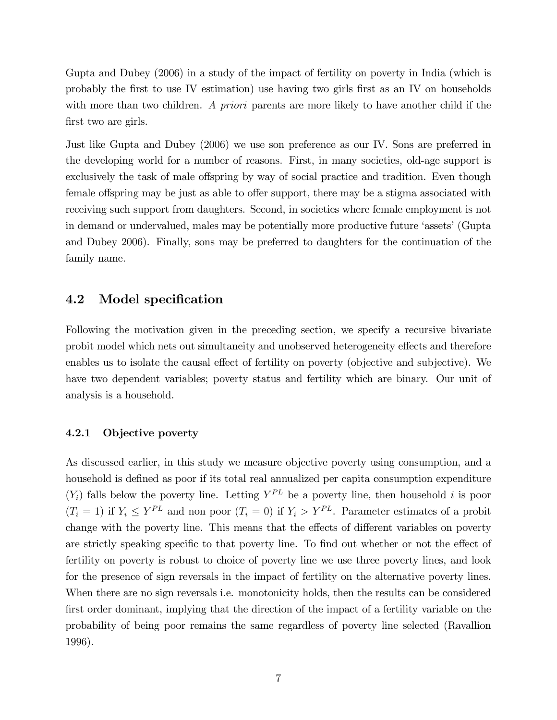Gupta and Dubey (2006) in a study of the impact of fertility on poverty in India (which is probably the first to use IV estimation) use having two girls first as an IV on households with more than two children. A priori parents are more likely to have another child if the first two are girls.

Just like Gupta and Dubey (2006) we use son preference as our IV. Sons are preferred in the developing world for a number of reasons. First, in many societies, old-age support is exclusively the task of male offspring by way of social practice and tradition. Even though female offspring may be just as able to offer support, there may be a stigma associated with receiving such support from daughters. Second, in societies where female employment is not in demand or undervalued, males may be potentially more productive future 'assets' (Gupta and Dubey 2006). Finally, sons may be preferred to daughters for the continuation of the family name.

### 4.2 Model specification

Following the motivation given in the preceding section, we specify a recursive bivariate probit model which nets out simultaneity and unobserved heterogeneity effects and therefore enables us to isolate the causal effect of fertility on poverty (objective and subjective). We have two dependent variables; poverty status and fertility which are binary. Our unit of analysis is a household.

#### 4.2.1 Objective poverty

As discussed earlier, in this study we measure objective poverty using consumption, and a household is defined as poor if its total real annualized per capita consumption expenditure  $(Y_i)$  falls below the poverty line. Letting  $Y^{PL}$  be a poverty line, then household i is poor  $(T_i = 1)$  if  $Y_i \leq Y^{PL}$  and non poor  $(T_i = 0)$  if  $Y_i > Y^{PL}$ . Parameter estimates of a probit change with the poverty line. This means that the effects of different variables on poverty are strictly speaking specific to that poverty line. To find out whether or not the effect of fertility on poverty is robust to choice of poverty line we use three poverty lines, and look for the presence of sign reversals in the impact of fertility on the alternative poverty lines. When there are no sign reversals i.e. monotonicity holds, then the results can be considered first order dominant, implying that the direction of the impact of a fertility variable on the probability of being poor remains the same regardless of poverty line selected (Ravallion 1996).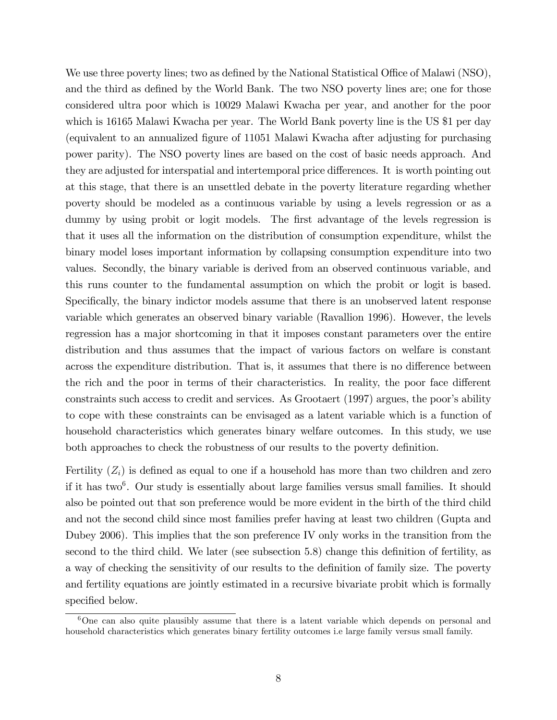We use three poverty lines; two as defined by the National Statistical Office of Malawi (NSO), and the third as defined by the World Bank. The two NSO poverty lines are; one for those considered ultra poor which is 10029 Malawi Kwacha per year, and another for the poor which is 16165 Malawi Kwacha per year. The World Bank poverty line is the US \$1 per day (equivalent to an annualized Ögure of 11051 Malawi Kwacha after adjusting for purchasing power parity). The NSO poverty lines are based on the cost of basic needs approach. And they are adjusted for interspatial and intertemporal price differences. It is worth pointing out at this stage, that there is an unsettled debate in the poverty literature regarding whether poverty should be modeled as a continuous variable by using a levels regression or as a dummy by using probit or logit models. The first advantage of the levels regression is that it uses all the information on the distribution of consumption expenditure, whilst the binary model loses important information by collapsing consumption expenditure into two values. Secondly, the binary variable is derived from an observed continuous variable, and this runs counter to the fundamental assumption on which the probit or logit is based. Specifically, the binary indictor models assume that there is an unobserved latent response variable which generates an observed binary variable (Ravallion 1996). However, the levels regression has a major shortcoming in that it imposes constant parameters over the entire distribution and thus assumes that the impact of various factors on welfare is constant across the expenditure distribution. That is, it assumes that there is no difference between the rich and the poor in terms of their characteristics. In reality, the poor face different constraints such access to credit and services. As Grootaert (1997) argues, the poor's ability to cope with these constraints can be envisaged as a latent variable which is a function of household characteristics which generates binary welfare outcomes. In this study, we use both approaches to check the robustness of our results to the poverty definition.

Fertility  $(Z_i)$  is defined as equal to one if a household has more than two children and zero if it has two<sup>6</sup>. Our study is essentially about large families versus small families. It should also be pointed out that son preference would be more evident in the birth of the third child and not the second child since most families prefer having at least two children (Gupta and Dubey 2006). This implies that the son preference IV only works in the transition from the second to the third child. We later (see subsection  $5.8$ ) change this definition of fertility, as a way of checking the sensitivity of our results to the definition of family size. The poverty and fertility equations are jointly estimated in a recursive bivariate probit which is formally specified below.

<sup>&</sup>lt;sup>6</sup>One can also quite plausibly assume that there is a latent variable which depends on personal and household characteristics which generates binary fertility outcomes i.e large family versus small family.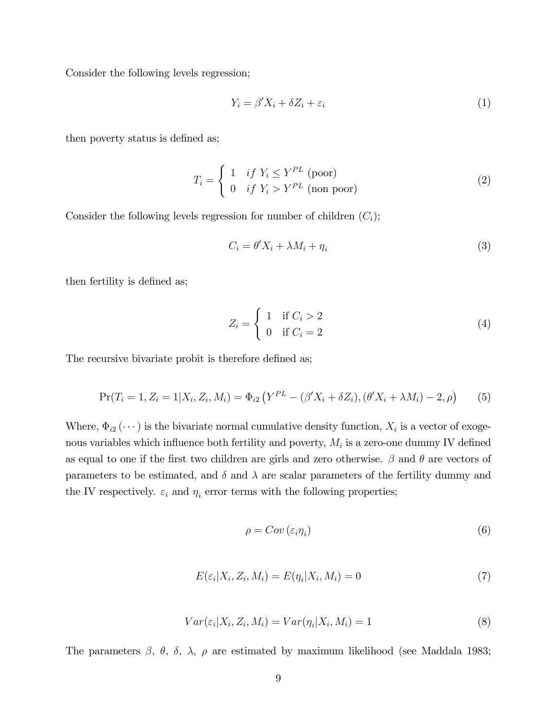Consider the following levels regression;

$$
Y_i = \beta' X_i + \delta Z_i + \varepsilon_i \tag{1}
$$

then poverty status is defined as;

$$
T_i = \begin{cases} 1 & if Y_i \le Y^{PL} \text{ (poor)}\\ 0 & if Y_i > Y^{PL} \text{ (non poor)} \end{cases}
$$
 (2)

Consider the following levels regression for number of children  $(C_i)$ ;

$$
C_i = \theta' X_i + \lambda M_i + \eta_i \tag{3}
$$

then fertility is defined as;

$$
Z_i = \begin{cases} 1 & \text{if } C_i > 2 \\ 0 & \text{if } C_i = 2 \end{cases}
$$
 (4)

The recursive bivariate probit is therefore defined as;

$$
Pr(T_i = 1, Z_i = 1 | X_i, Z_i, M_i) = \Phi_{i2} (Y^{PL} - (\beta' X_i + \delta Z_i), (\theta' X_i + \lambda M_i) - 2, \rho)
$$
(5)

Where,  $\Phi_{i2} (\cdots)$  is the bivariate normal cumulative density function,  $X_i$  is a vector of exogenous variables which influence both fertility and poverty,  $M_i$  is a zero-one dummy IV defined as equal to one if the first two children are girls and zero otherwise.  $\beta$  and  $\theta$  are vectors of parameters to be estimated, and  $\delta$  and  $\lambda$  are scalar parameters of the fertility dummy and the IV respectively.  $\varepsilon_i$  and  $\eta_i$  error terms with the following properties;

$$
\rho = Cov\left(\varepsilon_i \eta_i\right) \tag{6}
$$

$$
E(\varepsilon_i | X_i, Z_i, M_i) = E(\eta_i | X_i, M_i) = 0 \tag{7}
$$

$$
Var(\varepsilon_i | X_i, Z_i, M_i) = Var(\eta_i | X_i, M_i) = 1
$$
\n(8)

The parameters  $\beta$ ,  $\theta$ ,  $\delta$ ,  $\lambda$ ,  $\rho$  are estimated by maximum likelihood (see Maddala 1983;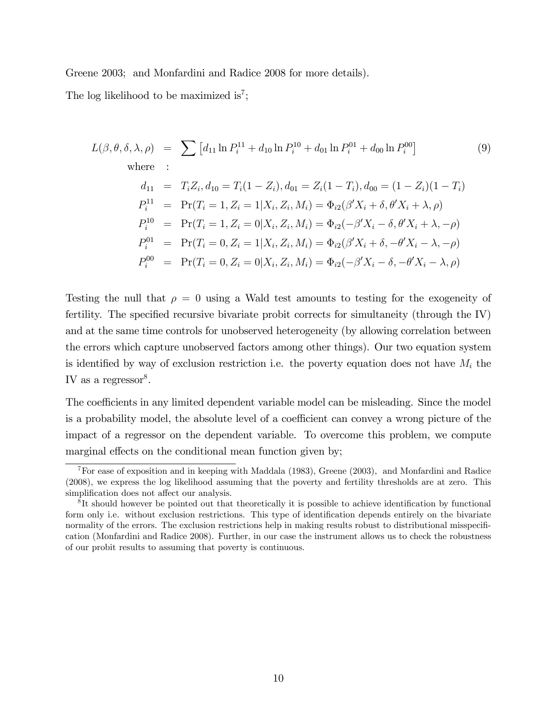Greene 2003; and Monfardini and Radice 2008 for more details).

The log likelihood to be maximized is<sup>7</sup>;

$$
L(\beta, \theta, \delta, \lambda, \rho) = \sum [d_{11} \ln P_i^{11} + d_{10} \ln P_i^{10} + d_{01} \ln P_i^{01} + d_{00} \ln P_i^{00}]
$$
(9)  
\nwhere :  
\n
$$
d_{11} = T_i Z_i, d_{10} = T_i (1 - Z_i), d_{01} = Z_i (1 - T_i), d_{00} = (1 - Z_i) (1 - T_i)
$$
  
\n
$$
P_i^{11} = \Pr(T_i = 1, Z_i = 1 | X_i, Z_i, M_i) = \Phi_{i2} (\beta' X_i + \delta, \theta' X_i + \lambda, \rho)
$$
  
\n
$$
P_i^{10} = \Pr(T_i = 1, Z_i = 0 | X_i, Z_i, M_i) = \Phi_{i2} (-\beta' X_i - \delta, \theta' X_i + \lambda, -\rho)
$$
  
\n
$$
P_i^{01} = \Pr(T_i = 0, Z_i = 1 | X_i, Z_i, M_i) = \Phi_{i2} (\beta' X_i + \delta, -\theta' X_i - \lambda, -\rho)
$$
  
\n
$$
P_i^{00} = \Pr(T_i = 0, Z_i = 0 | X_i, Z_i, M_i) = \Phi_{i2} (-\beta' X_i - \delta, -\theta' X_i - \lambda, \rho)
$$

Testing the null that  $\rho = 0$  using a Wald test amounts to testing for the exogeneity of fertility. The specified recursive bivariate probit corrects for simultaneity (through the  $IV$ ) and at the same time controls for unobserved heterogeneity (by allowing correlation between the errors which capture unobserved factors among other things). Our two equation system is identified by way of exclusion restriction i.e. the poverty equation does not have  $M_i$  the IV as a regressor $8$ .

The coefficients in any limited dependent variable model can be misleading. Since the model is a probability model, the absolute level of a coefficient can convey a wrong picture of the impact of a regressor on the dependent variable. To overcome this problem, we compute marginal effects on the conditional mean function given by;

<sup>7</sup>For ease of exposition and in keeping with Maddala (1983), Greene (2003), and Monfardini and Radice (2008), we express the log likelihood assuming that the poverty and fertility thresholds are at zero. This simplification does not affect our analysis.

<sup>&</sup>lt;sup>8</sup>It should however be pointed out that theoretically it is possible to achieve identification by functional form only i.e. without exclusion restrictions. This type of identification depends entirely on the bivariate normality of the errors. The exclusion restrictions help in making results robust to distributional misspecification (Monfardini and Radice 2008). Further, in our case the instrument allows us to check the robustness of our probit results to assuming that poverty is continuous.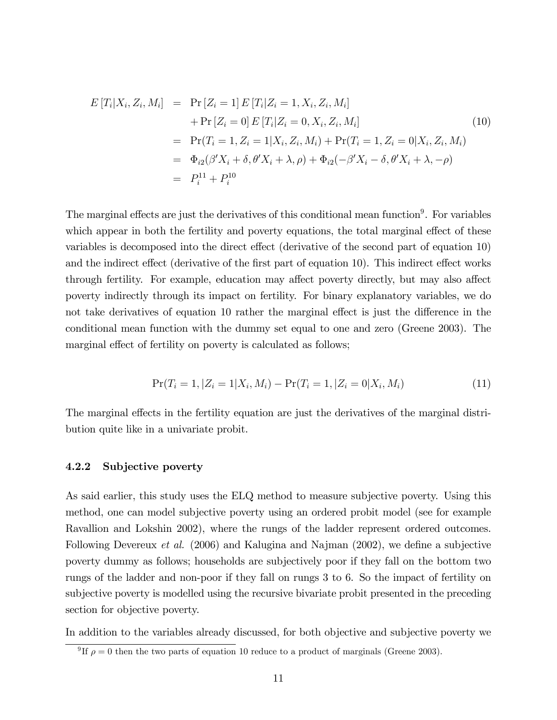$$
E[T_i|X_i, Z_i, M_i] = Pr[Z_i = 1] E[T_i|Z_i = 1, X_i, Z_i, M_i]
$$
  
+ Pr[Z\_i = 0] E[T\_i|Z\_i = 0, X\_i, Z\_i, M\_i]  
= Pr(T\_i = 1, Z\_i = 1|X\_i, Z\_i, M\_i) + Pr(T\_i = 1, Z\_i = 0|X\_i, Z\_i, M\_i)  
= 
$$
\Phi_{i2}(\beta'X_i + \delta, \theta'X_i + \lambda, \rho) + \Phi_{i2}(-\beta'X_i - \delta, \theta'X_i + \lambda, -\rho)
$$
  
= 
$$
P_i^{11} + P_i^{10}
$$
 (10)

The marginal effects are just the derivatives of this conditional mean function<sup>9</sup>. For variables which appear in both the fertility and poverty equations, the total marginal effect of these variables is decomposed into the direct effect (derivative of the second part of equation 10) and the indirect effect (derivative of the first part of equation 10). This indirect effect works through fertility. For example, education may affect poverty directly, but may also affect poverty indirectly through its impact on fertility. For binary explanatory variables, we do not take derivatives of equation 10 rather the marginal effect is just the difference in the conditional mean function with the dummy set equal to one and zero (Greene 2003). The marginal effect of fertility on poverty is calculated as follows;

$$
Pr(T_i = 1, |Z_i = 1 | X_i, M_i) - Pr(T_i = 1, |Z_i = 0 | X_i, M_i)
$$
\n(11)

The marginal effects in the fertility equation are just the derivatives of the marginal distribution quite like in a univariate probit.

#### 4.2.2 Subjective poverty

As said earlier, this study uses the ELQ method to measure subjective poverty. Using this method, one can model subjective poverty using an ordered probit model (see for example Ravallion and Lokshin 2002), where the rungs of the ladder represent ordered outcomes. Following Devereux *et al.* (2006) and Kalugina and Najman (2002), we define a subjective poverty dummy as follows; households are subjectively poor if they fall on the bottom two rungs of the ladder and non-poor if they fall on rungs 3 to 6. So the impact of fertility on subjective poverty is modelled using the recursive bivariate probit presented in the preceding section for objective poverty.

In addition to the variables already discussed, for both objective and subjective poverty we

<sup>&</sup>lt;sup>9</sup>If  $\rho = 0$  then the two parts of equation 10 reduce to a product of marginals (Greene 2003).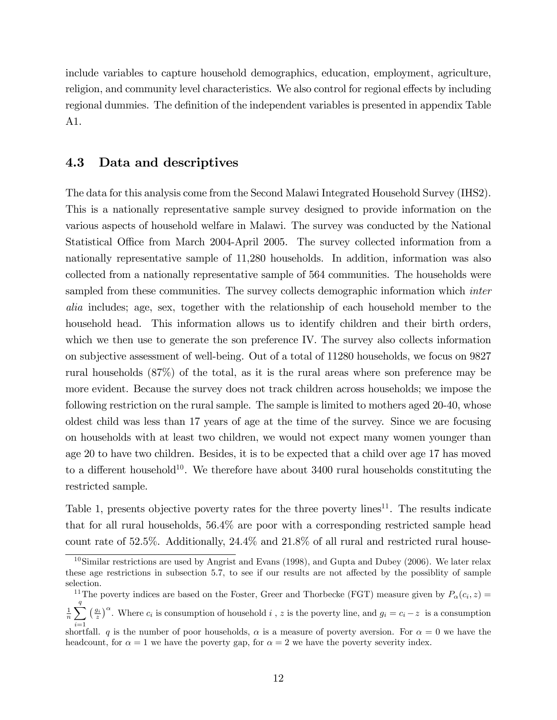include variables to capture household demographics, education, employment, agriculture, religion, and community level characteristics. We also control for regional effects by including regional dummies. The definition of the independent variables is presented in appendix Table A1.

### 4.3 Data and descriptives

The data for this analysis come from the Second Malawi Integrated Household Survey (IHS2). This is a nationally representative sample survey designed to provide information on the various aspects of household welfare in Malawi. The survey was conducted by the National Statistical Office from March 2004-April 2005. The survey collected information from a nationally representative sample of 11,280 households. In addition, information was also collected from a nationally representative sample of 564 communities. The households were sampled from these communities. The survey collects demographic information which *inter* alia includes; age, sex, together with the relationship of each household member to the household head. This information allows us to identify children and their birth orders, which we then use to generate the son preference IV. The survey also collects information on subjective assessment of well-being. Out of a total of 11280 households, we focus on 9827 rural households (87%) of the total, as it is the rural areas where son preference may be more evident. Because the survey does not track children across households; we impose the following restriction on the rural sample. The sample is limited to mothers aged 20-40, whose oldest child was less than 17 years of age at the time of the survey. Since we are focusing on households with at least two children, we would not expect many women younger than age 20 to have two children. Besides, it is to be expected that a child over age 17 has moved to a different household<sup>10</sup>. We therefore have about  $3400$  rural households constituting the restricted sample.

Table 1, presents objective poverty rates for the three poverty lines<sup>11</sup>. The results indicate that for all rural households, 56.4% are poor with a corresponding restricted sample head count rate of 52.5%. Additionally, 24.4% and 21.8% of all rural and restricted rural house-

<sup>&</sup>lt;sup>10</sup>Similar restrictions are used by Angrist and Evans (1998), and Gupta and Dubey (2006). We later relax these age restrictions in subsection 5.7, to see if our results are not affected by the possiblity of sample selection.

<sup>&</sup>lt;sup>11</sup>The poverty indices are based on the Foster, Greer and Thorbecke (FGT) measure given by  $P_{\alpha}(c_i, z) =$ 

<sup>1</sup>  $\frac{1}{n}\sum_{i=1}^{q} \left(\frac{g_i}{z}\right)^{\alpha}$ . Where  $c_i$  is consumption of household  $i$ , z is the poverty line, and  $g_i = c_i - z$  is a consumption  $i=1$ 

shortfall. q is the number of poor households,  $\alpha$  is a measure of poverty aversion. For  $\alpha = 0$  we have the headcount, for  $\alpha = 1$  we have the poverty gap, for  $\alpha = 2$  we have the poverty severity index.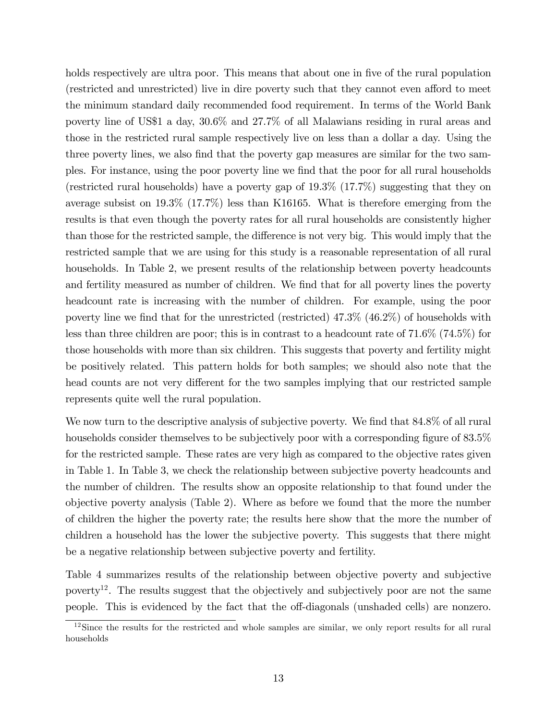holds respectively are ultra poor. This means that about one in five of the rural population (restricted and unrestricted) live in dire poverty such that they cannot even afford to meet the minimum standard daily recommended food requirement. In terms of the World Bank poverty line of US\$1 a day, 30.6% and 27.7% of all Malawians residing in rural areas and those in the restricted rural sample respectively live on less than a dollar a day. Using the three poverty lines, we also find that the poverty gap measures are similar for the two samples. For instance, using the poor poverty line we Önd that the poor for all rural households (restricted rural households) have a poverty gap of 19.3% (17.7%) suggesting that they on average subsist on 19.3% (17.7%) less than K16165. What is therefore emerging from the results is that even though the poverty rates for all rural households are consistently higher than those for the restricted sample, the difference is not very big. This would imply that the restricted sample that we are using for this study is a reasonable representation of all rural households. In Table 2, we present results of the relationship between poverty headcounts and fertility measured as number of children. We find that for all poverty lines the poverty headcount rate is increasing with the number of children. For example, using the poor poverty line we find that for the unrestricted (restricted)  $47.3\%$  ( $46.2\%$ ) of households with less than three children are poor; this is in contrast to a headcount rate of 71.6% (74.5%) for those households with more than six children. This suggests that poverty and fertility might be positively related. This pattern holds for both samples; we should also note that the head counts are not very different for the two samples implying that our restricted sample represents quite well the rural population.

We now turn to the descriptive analysis of subjective poverty. We find that  $84.8\%$  of all rural households consider themselves to be subjectively poor with a corresponding figure of 83.5% for the restricted sample. These rates are very high as compared to the objective rates given in Table 1. In Table 3, we check the relationship between subjective poverty headcounts and the number of children. The results show an opposite relationship to that found under the objective poverty analysis (Table 2). Where as before we found that the more the number of children the higher the poverty rate; the results here show that the more the number of children a household has the lower the subjective poverty. This suggests that there might be a negative relationship between subjective poverty and fertility.

Table 4 summarizes results of the relationship between objective poverty and subjective poverty<sup>12</sup>. The results suggest that the objectively and subjectively poor are not the same people. This is evidenced by the fact that the off-diagonals (unshaded cells) are nonzero.

 $12$ Since the results for the restricted and whole samples are similar, we only report results for all rural households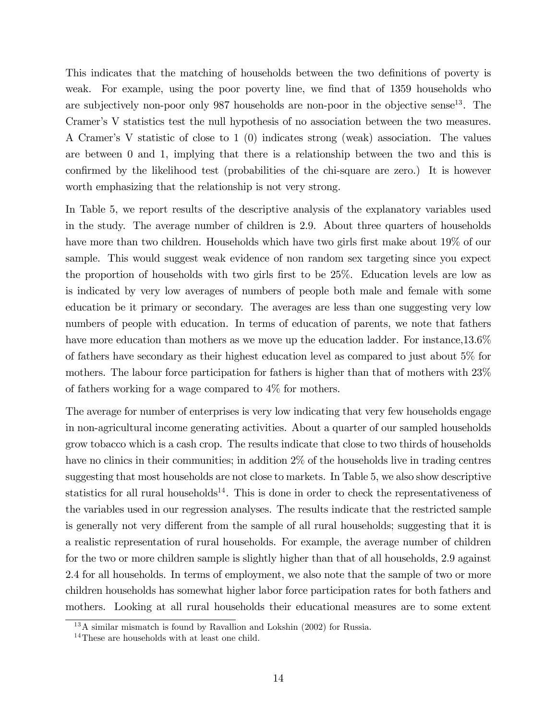This indicates that the matching of households between the two definitions of poverty is weak. For example, using the poor poverty line, we find that of 1359 households who are subjectively non-poor only  $987$  households are non-poor in the objective sense<sup>13</sup>. The Cramer's V statistics test the null hypothesis of no association between the two measures. A Cramerís V statistic of close to 1 (0) indicates strong (weak) association. The values are between 0 and 1, implying that there is a relationship between the two and this is confirmed by the likelihood test (probabilities of the chi-square are zero.) It is however worth emphasizing that the relationship is not very strong.

In Table 5, we report results of the descriptive analysis of the explanatory variables used in the study. The average number of children is 2.9. About three quarters of households have more than two children. Households which have two girls first make about 19% of our sample. This would suggest weak evidence of non random sex targeting since you expect the proportion of households with two girls first to be 25%. Education levels are low as is indicated by very low averages of numbers of people both male and female with some education be it primary or secondary. The averages are less than one suggesting very low numbers of people with education. In terms of education of parents, we note that fathers have more education than mothers as we move up the education ladder. For instance,  $13.6\%$ of fathers have secondary as their highest education level as compared to just about 5% for mothers. The labour force participation for fathers is higher than that of mothers with 23% of fathers working for a wage compared to 4% for mothers.

The average for number of enterprises is very low indicating that very few households engage in non-agricultural income generating activities. About a quarter of our sampled households grow tobacco which is a cash crop. The results indicate that close to two thirds of households have no clinics in their communities; in addition 2% of the households live in trading centres suggesting that most households are not close to markets. In Table 5, we also show descriptive statistics for all rural households<sup>14</sup>. This is done in order to check the representativeness of the variables used in our regression analyses. The results indicate that the restricted sample is generally not very different from the sample of all rural households; suggesting that it is a realistic representation of rural households. For example, the average number of children for the two or more children sample is slightly higher than that of all households, 2.9 against 2.4 for all households. In terms of employment, we also note that the sample of two or more children households has somewhat higher labor force participation rates for both fathers and mothers. Looking at all rural households their educational measures are to some extent

<sup>13</sup>A similar mismatch is found by Ravallion and Lokshin (2002) for Russia.

<sup>&</sup>lt;sup>14</sup>These are households with at least one child.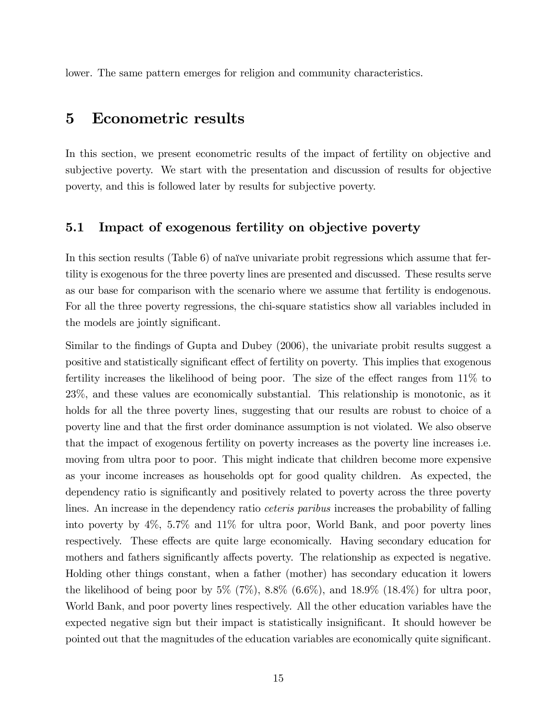lower. The same pattern emerges for religion and community characteristics.

## 5 Econometric results

In this section, we present econometric results of the impact of fertility on objective and subjective poverty. We start with the presentation and discussion of results for objective poverty, and this is followed later by results for subjective poverty.

### 5.1 Impact of exogenous fertility on objective poverty

In this section results (Table  $6$ ) of naïve univariate probit regressions which assume that fertility is exogenous for the three poverty lines are presented and discussed. These results serve as our base for comparison with the scenario where we assume that fertility is endogenous. For all the three poverty regressions, the chi-square statistics show all variables included in the models are jointly significant.

Similar to the findings of Gupta and Dubey (2006), the univariate probit results suggest a positive and statistically significant effect of fertility on poverty. This implies that exogenous fertility increases the likelihood of being poor. The size of the effect ranges from  $11\%$  to 23%, and these values are economically substantial. This relationship is monotonic, as it holds for all the three poverty lines, suggesting that our results are robust to choice of a poverty line and that the Örst order dominance assumption is not violated. We also observe that the impact of exogenous fertility on poverty increases as the poverty line increases i.e. moving from ultra poor to poor. This might indicate that children become more expensive as your income increases as households opt for good quality children. As expected, the dependency ratio is significantly and positively related to poverty across the three poverty lines. An increase in the dependency ratio ceteris paribus increases the probability of falling into poverty by 4%, 5.7% and 11% for ultra poor, World Bank, and poor poverty lines respectively. These effects are quite large economically. Having secondary education for mothers and fathers significantly affects poverty. The relationship as expected is negative. Holding other things constant, when a father (mother) has secondary education it lowers the likelihood of being poor by  $5\%$  (7%),  $8.8\%$  (6.6%), and  $18.9\%$  (18.4%) for ultra poor, World Bank, and poor poverty lines respectively. All the other education variables have the expected negative sign but their impact is statistically insignificant. It should however be pointed out that the magnitudes of the education variables are economically quite significant.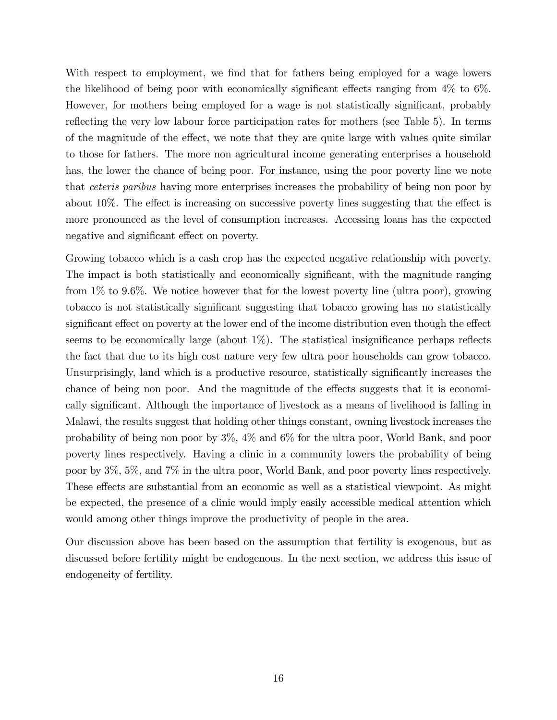With respect to employment, we find that for fathers being employed for a wage lowers the likelihood of being poor with economically significant effects ranging from  $4\%$  to  $6\%$ . However, for mothers being employed for a wage is not statistically significant, probably reflecting the very low labour force participation rates for mothers (see Table 5). In terms of the magnitude of the effect, we note that they are quite large with values quite similar to those for fathers. The more non agricultural income generating enterprises a household has, the lower the chance of being poor. For instance, using the poor poverty line we note that ceteris paribus having more enterprises increases the probability of being non poor by about  $10\%$ . The effect is increasing on successive poverty lines suggesting that the effect is more pronounced as the level of consumption increases. Accessing loans has the expected negative and significant effect on poverty.

Growing tobacco which is a cash crop has the expected negative relationship with poverty. The impact is both statistically and economically significant, with the magnitude ranging from 1% to 9.6%. We notice however that for the lowest poverty line (ultra poor), growing tobacco is not statistically significant suggesting that tobacco growing has no statistically significant effect on poverty at the lower end of the income distribution even though the effect seems to be economically large (about  $1\%$ ). The statistical insignificance perhaps reflects the fact that due to its high cost nature very few ultra poor households can grow tobacco. Unsurprisingly, land which is a productive resource, statistically significantly increases the chance of being non poor. And the magnitude of the effects suggests that it is economically significant. Although the importance of livestock as a means of livelihood is falling in Malawi, the results suggest that holding other things constant, owning livestock increases the probability of being non poor by 3%, 4% and 6% for the ultra poor, World Bank, and poor poverty lines respectively. Having a clinic in a community lowers the probability of being poor by 3%, 5%, and 7% in the ultra poor, World Bank, and poor poverty lines respectively. These effects are substantial from an economic as well as a statistical viewpoint. As might be expected, the presence of a clinic would imply easily accessible medical attention which would among other things improve the productivity of people in the area.

Our discussion above has been based on the assumption that fertility is exogenous, but as discussed before fertility might be endogenous. In the next section, we address this issue of endogeneity of fertility.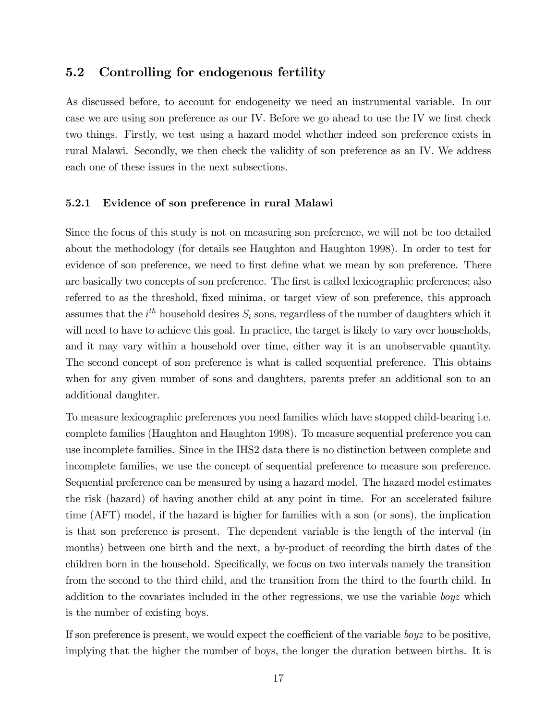### 5.2 Controlling for endogenous fertility

As discussed before, to account for endogeneity we need an instrumental variable. In our case we are using son preference as our IV. Before we go ahead to use the IV we first check two things. Firstly, we test using a hazard model whether indeed son preference exists in rural Malawi. Secondly, we then check the validity of son preference as an IV. We address each one of these issues in the next subsections.

#### 5.2.1 Evidence of son preference in rural Malawi

Since the focus of this study is not on measuring son preference, we will not be too detailed about the methodology (for details see Haughton and Haughton 1998). In order to test for evidence of son preference, we need to first define what we mean by son preference. There are basically two concepts of son preference. The first is called lexicographic preferences; also referred to as the threshold, fixed minima, or target view of son preference, this approach assumes that the  $i^{th}$  household desires  $S_i$  sons, regardless of the number of daughters which it will need to have to achieve this goal. In practice, the target is likely to vary over households, and it may vary within a household over time, either way it is an unobservable quantity. The second concept of son preference is what is called sequential preference. This obtains when for any given number of sons and daughters, parents prefer an additional son to an additional daughter.

To measure lexicographic preferences you need families which have stopped child-bearing i.e. complete families (Haughton and Haughton 1998). To measure sequential preference you can use incomplete families. Since in the IHS2 data there is no distinction between complete and incomplete families, we use the concept of sequential preference to measure son preference. Sequential preference can be measured by using a hazard model. The hazard model estimates the risk (hazard) of having another child at any point in time. For an accelerated failure time (AFT) model, if the hazard is higher for families with a son (or sons), the implication is that son preference is present. The dependent variable is the length of the interval (in months) between one birth and the next, a by-product of recording the birth dates of the children born in the household. Specifically, we focus on two intervals namely the transition from the second to the third child, and the transition from the third to the fourth child. In addition to the covariates included in the other regressions, we use the variable boyz which is the number of existing boys.

If son preference is present, we would expect the coefficient of the variable  $\log z$  to be positive, implying that the higher the number of boys, the longer the duration between births. It is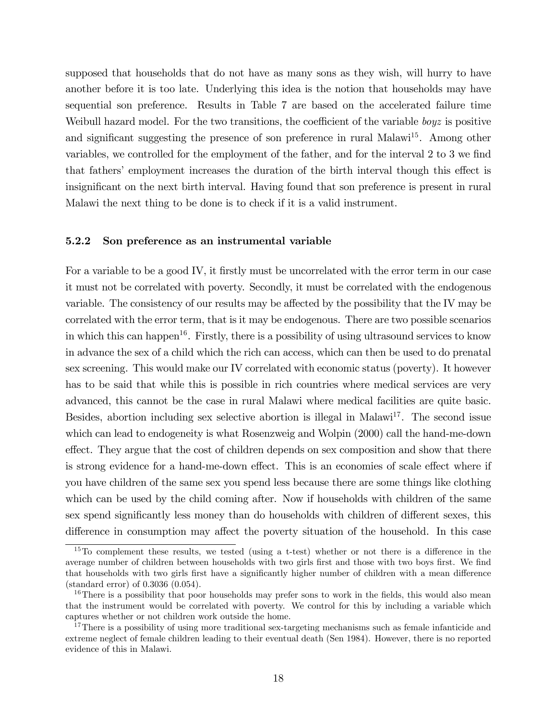supposed that households that do not have as many sons as they wish, will hurry to have another before it is too late. Underlying this idea is the notion that households may have sequential son preference. Results in Table 7 are based on the accelerated failure time Weibull hazard model. For the two transitions, the coefficient of the variable  $\log z$  is positive and significant suggesting the presence of son preference in rural Malawi<sup>15</sup>. Among other variables, we controlled for the employment of the father, and for the interval 2 to 3 we find that fathers' employment increases the duration of the birth interval though this effect is insignificant on the next birth interval. Having found that son preference is present in rural Malawi the next thing to be done is to check if it is a valid instrument.

#### 5.2.2 Son preference as an instrumental variable

For a variable to be a good IV, it firstly must be uncorrelated with the error term in our case it must not be correlated with poverty. Secondly, it must be correlated with the endogenous variable. The consistency of our results may be affected by the possibility that the IV may be correlated with the error term, that is it may be endogenous. There are two possible scenarios in which this can happen<sup>16</sup>. Firstly, there is a possibility of using ultrasound services to know in advance the sex of a child which the rich can access, which can then be used to do prenatal sex screening. This would make our IV correlated with economic status (poverty). It however has to be said that while this is possible in rich countries where medical services are very advanced, this cannot be the case in rural Malawi where medical facilities are quite basic. Besides, abortion including sex selective abortion is illegal in Malawi<sup>17</sup>. The second issue which can lead to endogeneity is what Rosenzweig and Wolpin (2000) call the hand-me-down effect. They argue that the cost of children depends on sex composition and show that there is strong evidence for a hand-me-down effect. This is an economies of scale effect where if you have children of the same sex you spend less because there are some things like clothing which can be used by the child coming after. Now if households with children of the same sex spend significantly less money than do households with children of different sexes, this difference in consumption may affect the poverty situation of the household. In this case

 $15T<sub>0</sub>$  complement these results, we tested (using a t-test) whether or not there is a difference in the average number of children between households with two girls first and those with two boys first. We find that households with two girls first have a significantly higher number of children with a mean difference (standard error) of 0.3036 (0.054).

<sup>&</sup>lt;sup>16</sup>There is a possibility that poor households may prefer sons to work in the fields, this would also mean that the instrument would be correlated with poverty. We control for this by including a variable which captures whether or not children work outside the home.

<sup>&</sup>lt;sup>17</sup>There is a possibility of using more traditional sex-targeting mechanisms such as female infanticide and extreme neglect of female children leading to their eventual death (Sen 1984). However, there is no reported evidence of this in Malawi.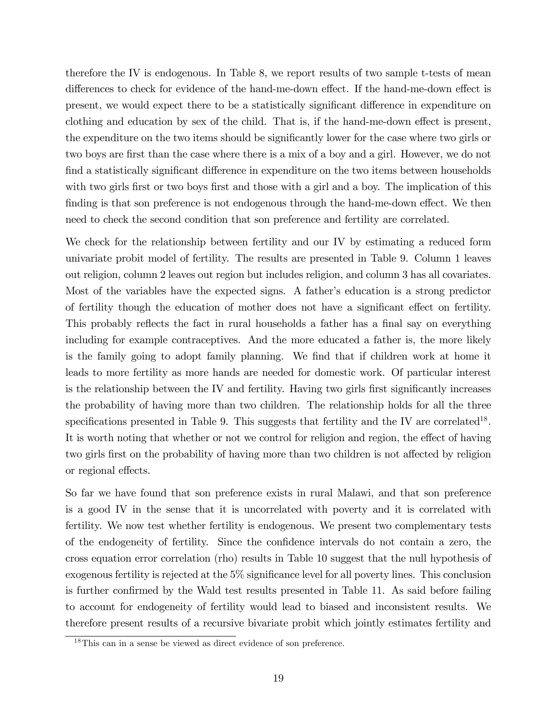therefore the IV is endogenous. In Table 8, we report results of two sample t-tests of mean differences to check for evidence of the hand-me-down effect. If the hand-me-down effect is present, we would expect there to be a statistically significant difference in expenditure on clothing and education by sex of the child. That is, if the hand-me-down effect is present, the expenditure on the two items should be significantly lower for the case where two girls or two boys are first than the case where there is a mix of a boy and a girl. However, we do not find a statistically significant difference in expenditure on the two items between households with two girls first or two boys first and those with a girl and a boy. The implication of this finding is that son preference is not endogenous through the hand-me-down effect. We then need to check the second condition that son preference and fertility are correlated.

We check for the relationship between fertility and our IV by estimating a reduced form univariate probit model of fertility. The results are presented in Table 9. Column 1 leaves out religion, column 2 leaves out region but includes religion, and column 3 has all covariates. Most of the variables have the expected signs. A father's education is a strong predictor of fertility though the education of mother does not have a significant effect on fertility. This probably reflects the fact in rural households a father has a final say on everything including for example contraceptives. And the more educated a father is, the more likely is the family going to adopt family planning. We find that if children work at home it leads to more fertility as more hands are needed for domestic work. Of particular interest is the relationship between the IV and fertility. Having two girls first significantly increases the probability of having more than two children. The relationship holds for all the three specifications presented in Table 9. This suggests that fertility and the IV are correlated<sup>18</sup>. It is worth noting that whether or not we control for religion and region, the effect of having two girls first on the probability of having more than two children is not affected by religion or regional effects.

So far we have found that son preference exists in rural Malawi, and that son preference is a good IV in the sense that it is uncorrelated with poverty and it is correlated with fertility. We now test whether fertility is endogenous. We present two complementary tests of the endogeneity of fertility. Since the confidence intervals do not contain a zero, the cross equation error correlation (rho) results in Table 10 suggest that the null hypothesis of exogenous fertility is rejected at the  $5\%$  significance level for all poverty lines. This conclusion is further confirmed by the Wald test results presented in Table 11. As said before failing to account for endogeneity of fertility would lead to biased and inconsistent results. We therefore present results of a recursive bivariate probit which jointly estimates fertility and

<sup>18</sup>This can in a sense be viewed as direct evidence of son preference.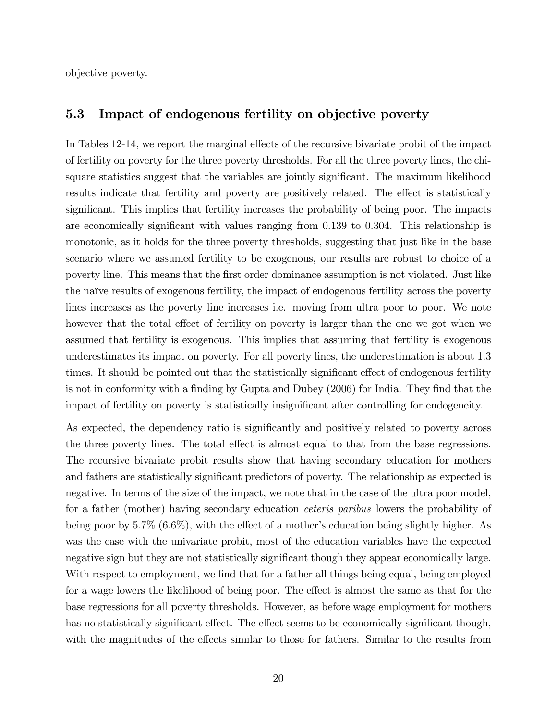objective poverty.

### 5.3 Impact of endogenous fertility on objective poverty

In Tables 12-14, we report the marginal effects of the recursive bivariate probit of the impact of fertility on poverty for the three poverty thresholds. For all the three poverty lines, the chisquare statistics suggest that the variables are jointly significant. The maximum likelihood results indicate that fertility and poverty are positively related. The effect is statistically significant. This implies that fertility increases the probability of being poor. The impacts are economically significant with values ranging from  $0.139$  to  $0.304$ . This relationship is monotonic, as it holds for the three poverty thresholds, suggesting that just like in the base scenario where we assumed fertility to be exogenous, our results are robust to choice of a poverty line. This means that the Örst order dominance assumption is not violated. Just like the naïve results of exogenous fertility, the impact of endogenous fertility across the poverty lines increases as the poverty line increases i.e. moving from ultra poor to poor. We note however that the total effect of fertility on poverty is larger than the one we got when we assumed that fertility is exogenous. This implies that assuming that fertility is exogenous underestimates its impact on poverty. For all poverty lines, the underestimation is about 1.3 times. It should be pointed out that the statistically significant effect of endogenous fertility is not in conformity with a finding by Gupta and Dubey (2006) for India. They find that the impact of fertility on poverty is statistically insignificant after controlling for endogeneity.

As expected, the dependency ratio is significantly and positively related to poverty across the three poverty lines. The total effect is almost equal to that from the base regressions. The recursive bivariate probit results show that having secondary education for mothers and fathers are statistically significant predictors of poverty. The relationship as expected is negative. In terms of the size of the impact, we note that in the case of the ultra poor model, for a father (mother) having secondary education ceteris paribus lowers the probability of being poor by  $5.7\%$  (6.6%), with the effect of a mother's education being slightly higher. As was the case with the univariate probit, most of the education variables have the expected negative sign but they are not statistically significant though they appear economically large. With respect to employment, we find that for a father all things being equal, being employed for a wage lowers the likelihood of being poor. The effect is almost the same as that for the base regressions for all poverty thresholds. However, as before wage employment for mothers has no statistically significant effect. The effect seems to be economically significant though, with the magnitudes of the effects similar to those for fathers. Similar to the results from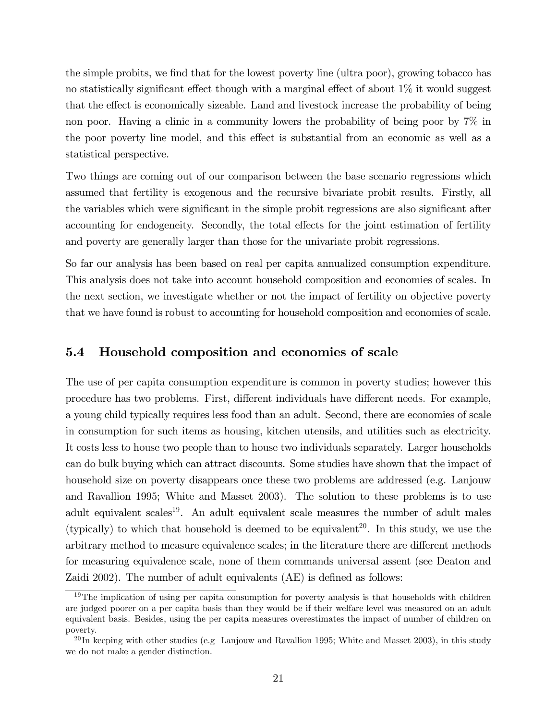the simple probits, we find that for the lowest poverty line (ultra poor), growing tobacco has no statistically significant effect though with a marginal effect of about  $1\%$  it would suggest that the effect is economically sizeable. Land and livestock increase the probability of being non poor. Having a clinic in a community lowers the probability of being poor by 7% in the poor poverty line model, and this effect is substantial from an economic as well as a statistical perspective.

Two things are coming out of our comparison between the base scenario regressions which assumed that fertility is exogenous and the recursive bivariate probit results. Firstly, all the variables which were significant in the simple probit regressions are also significant after accounting for endogeneity. Secondly, the total effects for the joint estimation of fertility and poverty are generally larger than those for the univariate probit regressions.

So far our analysis has been based on real per capita annualized consumption expenditure. This analysis does not take into account household composition and economies of scales. In the next section, we investigate whether or not the impact of fertility on objective poverty that we have found is robust to accounting for household composition and economies of scale.

### 5.4 Household composition and economies of scale

The use of per capita consumption expenditure is common in poverty studies; however this procedure has two problems. First, different individuals have different needs. For example, a young child typically requires less food than an adult. Second, there are economies of scale in consumption for such items as housing, kitchen utensils, and utilities such as electricity. It costs less to house two people than to house two individuals separately. Larger households can do bulk buying which can attract discounts. Some studies have shown that the impact of household size on poverty disappears once these two problems are addressed (e.g. Lanjouw and Ravallion 1995; White and Masset 2003). The solution to these problems is to use adult equivalent scales<sup>19</sup>. An adult equivalent scale measures the number of adult males (typically) to which that household is deemed to be equivalent<sup>20</sup>. In this study, we use the arbitrary method to measure equivalence scales; in the literature there are different methods for measuring equivalence scale, none of them commands universal assent (see Deaton and Zaidi 2002). The number of adult equivalents  $(AE)$  is defined as follows:

<sup>&</sup>lt;sup>19</sup>The implication of using per capita consumption for poverty analysis is that households with children are judged poorer on a per capita basis than they would be if their welfare level was measured on an adult equivalent basis. Besides, using the per capita measures overestimates the impact of number of children on poverty.

 $^{20}$ In keeping with other studies (e.g. Lanjouw and Ravallion 1995; White and Masset 2003), in this study we do not make a gender distinction.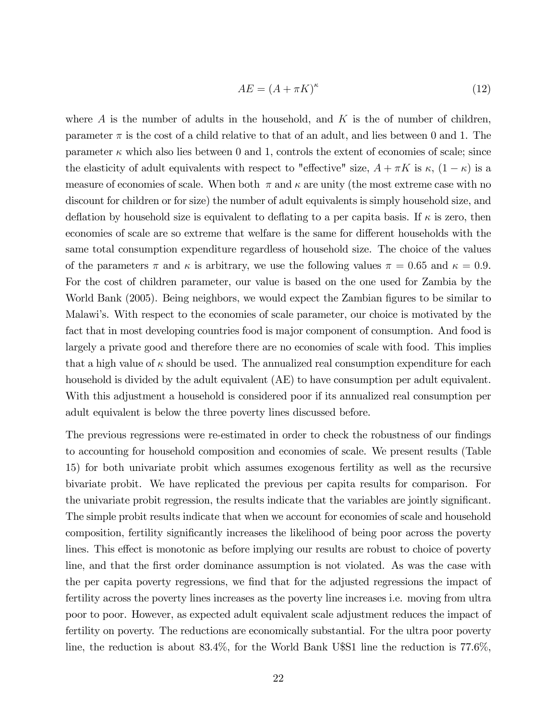$$
AE = (A + \pi K)^{\kappa} \tag{12}
$$

where  $A$  is the number of adults in the household, and  $K$  is the of number of children, parameter  $\pi$  is the cost of a child relative to that of an adult, and lies between 0 and 1. The parameter  $\kappa$  which also lies between 0 and 1, controls the extent of economies of scale; since the elasticity of adult equivalents with respect to "effective" size,  $A + \pi K$  is  $\kappa$ ,  $(1 - \kappa)$  is a measure of economies of scale. When both  $\pi$  and  $\kappa$  are unity (the most extreme case with no discount for children or for size) the number of adult equivalents is simply household size, and deflation by household size is equivalent to deflating to a per capita basis. If  $\kappa$  is zero, then economies of scale are so extreme that welfare is the same for different households with the same total consumption expenditure regardless of household size. The choice of the values of the parameters  $\pi$  and  $\kappa$  is arbitrary, we use the following values  $\pi = 0.65$  and  $\kappa = 0.9$ . For the cost of children parameter, our value is based on the one used for Zambia by the World Bank (2005). Being neighbors, we would expect the Zambian figures to be similar to Malawi's. With respect to the economies of scale parameter, our choice is motivated by the fact that in most developing countries food is major component of consumption. And food is largely a private good and therefore there are no economies of scale with food. This implies that a high value of  $\kappa$  should be used. The annualized real consumption expenditure for each household is divided by the adult equivalent (AE) to have consumption per adult equivalent. With this adjustment a household is considered poor if its annualized real consumption per adult equivalent is below the three poverty lines discussed before.

The previous regressions were re-estimated in order to check the robustness of our findings to accounting for household composition and economies of scale. We present results (Table 15) for both univariate probit which assumes exogenous fertility as well as the recursive bivariate probit. We have replicated the previous per capita results for comparison. For the univariate probit regression, the results indicate that the variables are jointly significant. The simple probit results indicate that when we account for economies of scale and household composition, fertility significantly increases the likelihood of being poor across the poverty lines. This effect is monotonic as before implying our results are robust to choice of poverty line, and that the first order dominance assumption is not violated. As was the case with the per capita poverty regressions, we find that for the adjusted regressions the impact of fertility across the poverty lines increases as the poverty line increases i.e. moving from ultra poor to poor. However, as expected adult equivalent scale adjustment reduces the impact of fertility on poverty. The reductions are economically substantial. For the ultra poor poverty line, the reduction is about 83.4%, for the World Bank U\$S1 line the reduction is 77.6%,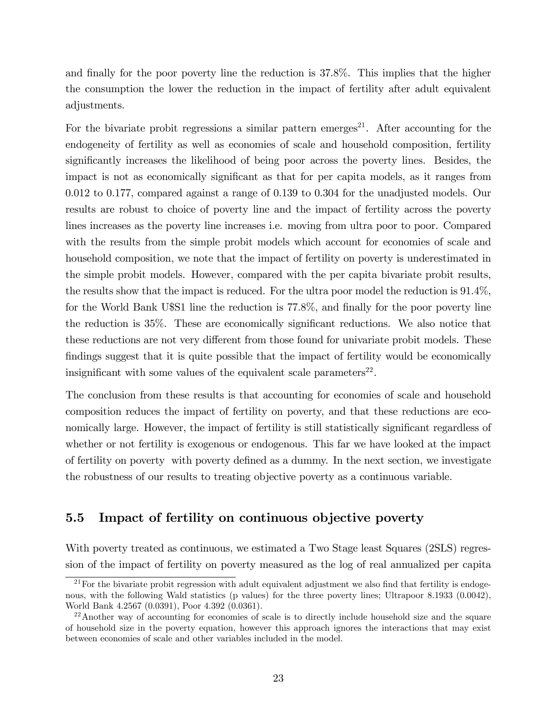and finally for the poor poverty line the reduction is 37.8%. This implies that the higher the consumption the lower the reduction in the impact of fertility after adult equivalent adjustments.

For the bivariate probit regressions a similar pattern emerges<sup>21</sup>. After accounting for the endogeneity of fertility as well as economies of scale and household composition, fertility significantly increases the likelihood of being poor across the poverty lines. Besides, the impact is not as economically significant as that for per capita models, as it ranges from 0.012 to 0.177, compared against a range of 0.139 to 0.304 for the unadjusted models. Our results are robust to choice of poverty line and the impact of fertility across the poverty lines increases as the poverty line increases i.e. moving from ultra poor to poor. Compared with the results from the simple probit models which account for economies of scale and household composition, we note that the impact of fertility on poverty is underestimated in the simple probit models. However, compared with the per capita bivariate probit results, the results show that the impact is reduced. For the ultra poor model the reduction is 91.4%, for the World Bank U\$S1 line the reduction is 77.8%, and finally for the poor poverty line the reduction is 35%. These are economically significant reductions. We also notice that these reductions are not very different from those found for univariate probit models. These findings suggest that it is quite possible that the impact of fertility would be economically insignificant with some values of the equivalent scale parameters<sup>22</sup>.

The conclusion from these results is that accounting for economies of scale and household composition reduces the impact of fertility on poverty, and that these reductions are economically large. However, the impact of fertility is still statistically significant regardless of whether or not fertility is exogenous or endogenous. This far we have looked at the impact of fertility on poverty with poverty defined as a dummy. In the next section, we investigate the robustness of our results to treating objective poverty as a continuous variable.

### 5.5 Impact of fertility on continuous objective poverty

With poverty treated as continuous, we estimated a Two Stage least Squares (2SLS) regression of the impact of fertility on poverty measured as the log of real annualized per capita

 $21$  For the bivariate probit regression with adult equivalent adjustment we also find that fertility is endogenous, with the following Wald statistics (p values) for the three poverty lines; Ultrapoor 8.1933 (0.0042), World Bank 4.2567 (0.0391), Poor 4.392 (0.0361).

 $^{22}$ Another way of accounting for economies of scale is to directly include household size and the square of household size in the poverty equation, however this approach ignores the interactions that may exist between economies of scale and other variables included in the model.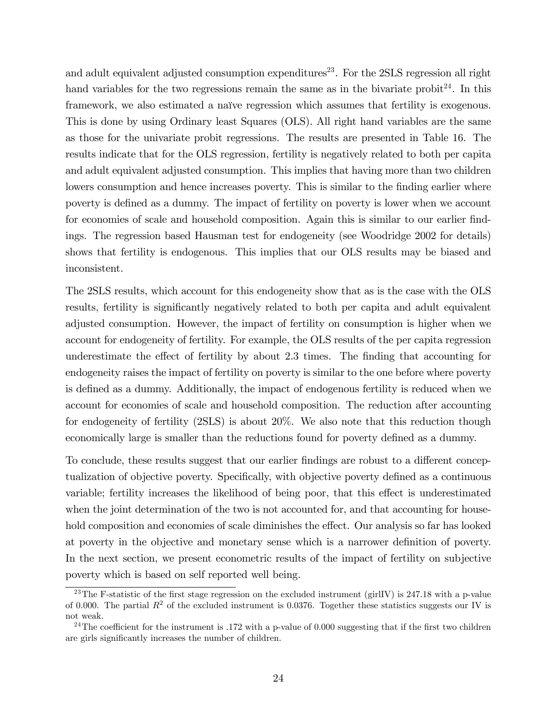and adult equivalent adjusted consumption expenditures<sup>23</sup>. For the 2SLS regression all right hand variables for the two regressions remain the same as in the bivariate probit  $24$ . In this framework, we also estimated a naïve regression which assumes that fertility is exogenous. This is done by using Ordinary least Squares (OLS). All right hand variables are the same as those for the univariate probit regressions. The results are presented in Table 16. The results indicate that for the OLS regression, fertility is negatively related to both per capita and adult equivalent adjusted consumption. This implies that having more than two children lowers consumption and hence increases poverty. This is similar to the finding earlier where poverty is defined as a dummy. The impact of fertility on poverty is lower when we account for economies of scale and household composition. Again this is similar to our earlier findings. The regression based Hausman test for endogeneity (see Woodridge 2002 for details) shows that fertility is endogenous. This implies that our OLS results may be biased and inconsistent.

The 2SLS results, which account for this endogeneity show that as is the case with the OLS results, fertility is significantly negatively related to both per capita and adult equivalent adjusted consumption. However, the impact of fertility on consumption is higher when we account for endogeneity of fertility. For example, the OLS results of the per capita regression underestimate the effect of fertility by about 2.3 times. The finding that accounting for endogeneity raises the impact of fertility on poverty is similar to the one before where poverty is defined as a dummy. Additionally, the impact of endogenous fertility is reduced when we account for economies of scale and household composition. The reduction after accounting for endogeneity of fertility (2SLS) is about 20%. We also note that this reduction though economically large is smaller than the reductions found for poverty defined as a dummy.

To conclude, these results suggest that our earlier findings are robust to a different conceptualization of objective poverty. Specifically, with objective poverty defined as a continuous variable; fertility increases the likelihood of being poor, that this effect is underestimated when the joint determination of the two is not accounted for, and that accounting for household composition and economies of scale diminishes the effect. Our analysis so far has looked at poverty in the objective and monetary sense which is a narrower definition of poverty. In the next section, we present econometric results of the impact of fertility on subjective poverty which is based on self reported well being.

<sup>&</sup>lt;sup>23</sup>The F-statistic of the first stage regression on the excluded instrument (girlIV) is  $247.18$  with a p-value of 0.000. The partial  $R<sup>2</sup>$  of the excluded instrument is 0.0376. Together these statistics suggests our IV is not weak.

<sup>&</sup>lt;sup>24</sup>The coefficient for the instrument is .172 with a p-value of 0.000 suggesting that if the first two children are girls significantly increases the number of children.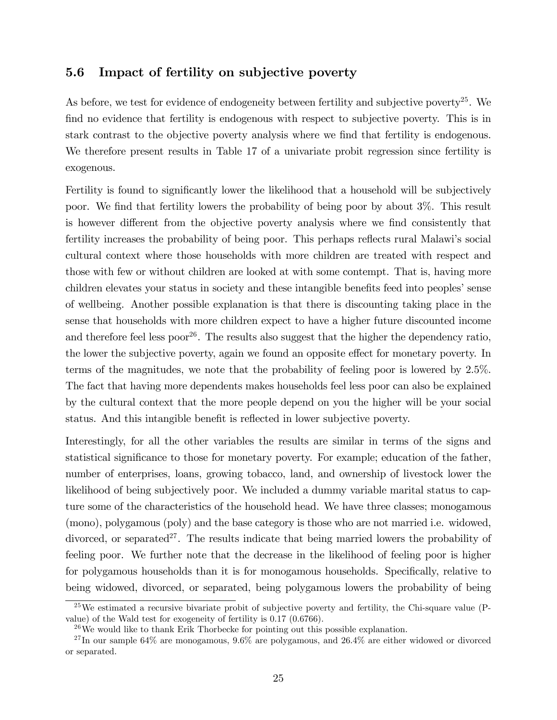### 5.6 Impact of fertility on subjective poverty

As before, we test for evidence of endogeneity between fertility and subjective poverty<sup>25</sup>. We find no evidence that fertility is endogenous with respect to subjective poverty. This is in stark contrast to the objective poverty analysis where we find that fertility is endogenous. We therefore present results in Table 17 of a univariate probit regression since fertility is exogenous.

Fertility is found to significantly lower the likelihood that a household will be subjectively poor. We find that fertility lowers the probability of being poor by about 3%. This result is however different from the objective poverty analysis where we find consistently that fertility increases the probability of being poor. This perhaps reflects rural Malawi's social cultural context where those households with more children are treated with respect and those with few or without children are looked at with some contempt. That is, having more children elevates your status in society and these intangible benefits feed into peoples' sense of wellbeing. Another possible explanation is that there is discounting taking place in the sense that households with more children expect to have a higher future discounted income and therefore feel less poor<sup>26</sup>. The results also suggest that the higher the dependency ratio, the lower the subjective poverty, again we found an opposite effect for monetary poverty. In terms of the magnitudes, we note that the probability of feeling poor is lowered by 2.5%. The fact that having more dependents makes households feel less poor can also be explained by the cultural context that the more people depend on you the higher will be your social status. And this intangible benefit is reflected in lower subjective poverty.

Interestingly, for all the other variables the results are similar in terms of the signs and statistical significance to those for monetary poverty. For example; education of the father, number of enterprises, loans, growing tobacco, land, and ownership of livestock lower the likelihood of being subjectively poor. We included a dummy variable marital status to capture some of the characteristics of the household head. We have three classes; monogamous (mono), polygamous (poly) and the base category is those who are not married i.e. widowed, divorced, or separated<sup>27</sup>. The results indicate that being married lowers the probability of feeling poor. We further note that the decrease in the likelihood of feeling poor is higher for polygamous households than it is for monogamous households. Specifically, relative to being widowed, divorced, or separated, being polygamous lowers the probability of being

<sup>&</sup>lt;sup>25</sup>We estimated a recursive bivariate probit of subjective poverty and fertility, the Chi-square value (Pvalue) of the Wald test for exogeneity of fertility is 0.17 (0.6766).

 $26\text{We would like to thank Erik Thorbecke for pointing out this possible explanation.}$ 

<sup>27</sup> In our sample 64% are monogamous, 9.6% are polygamous, and 26.4% are either widowed or divorced or separated.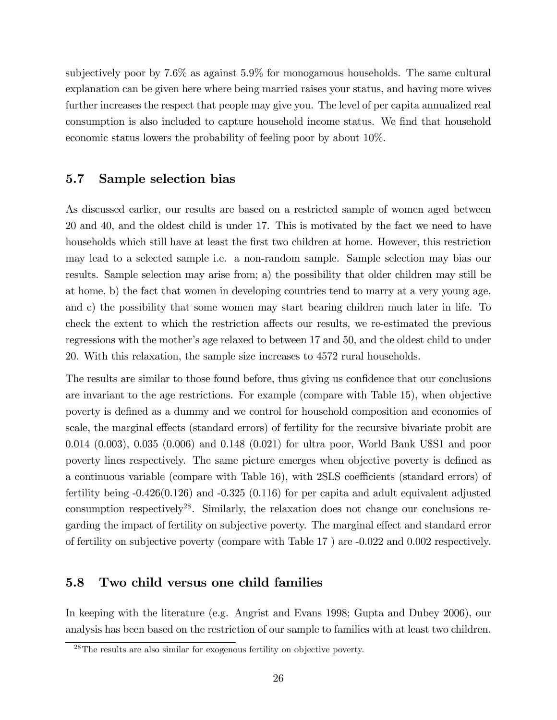subjectively poor by 7.6% as against 5.9% for monogamous households. The same cultural explanation can be given here where being married raises your status, and having more wives further increases the respect that people may give you. The level of per capita annualized real consumption is also included to capture household income status. We find that household economic status lowers the probability of feeling poor by about 10%.

### 5.7 Sample selection bias

As discussed earlier, our results are based on a restricted sample of women aged between 20 and 40, and the oldest child is under 17. This is motivated by the fact we need to have households which still have at least the first two children at home. However, this restriction may lead to a selected sample i.e. a non-random sample. Sample selection may bias our results. Sample selection may arise from; a) the possibility that older children may still be at home, b) the fact that women in developing countries tend to marry at a very young age, and c) the possibility that some women may start bearing children much later in life. To check the extent to which the restriction affects our results, we re-estimated the previous regressions with the mother's age relaxed to between 17 and 50, and the oldest child to under 20. With this relaxation, the sample size increases to 4572 rural households.

The results are similar to those found before, thus giving us confidence that our conclusions are invariant to the age restrictions. For example (compare with Table 15), when objective poverty is defined as a dummy and we control for household composition and economies of scale, the marginal effects (standard errors) of fertility for the recursive bivariate probit are 0.014 (0.003), 0.035 (0.006) and 0.148 (0.021) for ultra poor, World Bank U\$S1 and poor poverty lines respectively. The same picture emerges when objective poverty is defined as a continuous variable (compare with Table 16), with 2SLS coefficients (standard errors) of fertility being -0.426(0.126) and -0.325 (0.116) for per capita and adult equivalent adjusted consumption respectively<sup>28</sup>. Similarly, the relaxation does not change our conclusions regarding the impact of fertility on subjective poverty. The marginal effect and standard error of fertility on subjective poverty (compare with Table 17 ) are -0.022 and 0.002 respectively.

### 5.8 Two child versus one child families

In keeping with the literature (e.g. Angrist and Evans 1998; Gupta and Dubey 2006), our analysis has been based on the restriction of our sample to families with at least two children.

<sup>&</sup>lt;sup>28</sup>The results are also similar for exogenous fertility on objective poverty.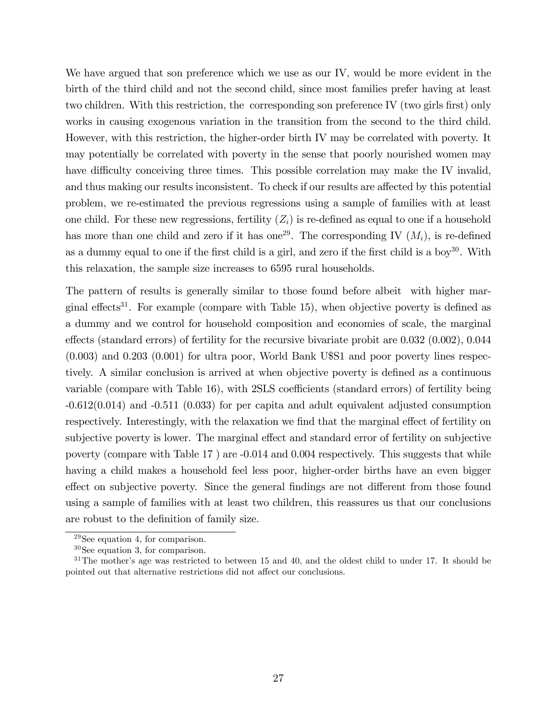We have argued that son preference which we use as our IV, would be more evident in the birth of the third child and not the second child, since most families prefer having at least two children. With this restriction, the corresponding son preference IV (two girls first) only works in causing exogenous variation in the transition from the second to the third child. However, with this restriction, the higher-order birth IV may be correlated with poverty. It may potentially be correlated with poverty in the sense that poorly nourished women may have difficulty conceiving three times. This possible correlation may make the IV invalid, and thus making our results inconsistent. To check if our results are affected by this potential problem, we re-estimated the previous regressions using a sample of families with at least one child. For these new regressions, fertility  $(Z_i)$  is re-defined as equal to one if a household has more than one child and zero if it has one<sup>29</sup>. The corresponding IV  $(M_i)$ , is re-defined as a dummy equal to one if the first child is a girl, and zero if the first child is a boy<sup>30</sup>. With this relaxation, the sample size increases to 6595 rural households.

The pattern of results is generally similar to those found before albeit with higher marginal effects<sup>31</sup>. For example (compare with Table 15), when objective poverty is defined as a dummy and we control for household composition and economies of scale, the marginal effects (standard errors) of fertility for the recursive bivariate probit are  $0.032$  ( $0.002$ ),  $0.044$ (0.003) and 0.203 (0.001) for ultra poor, World Bank U\$S1 and poor poverty lines respectively. A similar conclusion is arrived at when objective poverty is defined as a continuous variable (compare with Table 16), with 2SLS coefficients (standard errors) of fertility being -0.612(0.014) and -0.511 (0.033) for per capita and adult equivalent adjusted consumption respectively. Interestingly, with the relaxation we find that the marginal effect of fertility on subjective poverty is lower. The marginal effect and standard error of fertility on subjective poverty (compare with Table 17 ) are -0.014 and 0.004 respectively. This suggests that while having a child makes a household feel less poor, higher-order births have an even bigger effect on subjective poverty. Since the general findings are not different from those found using a sample of families with at least two children, this reassures us that our conclusions are robust to the definition of family size.

<sup>29</sup>See equation 4, for comparison.

<sup>30</sup>See equation 3, for comparison.

 $31$ The mother's age was restricted to between 15 and 40, and the oldest child to under 17. It should be pointed out that alternative restrictions did not affect our conclusions.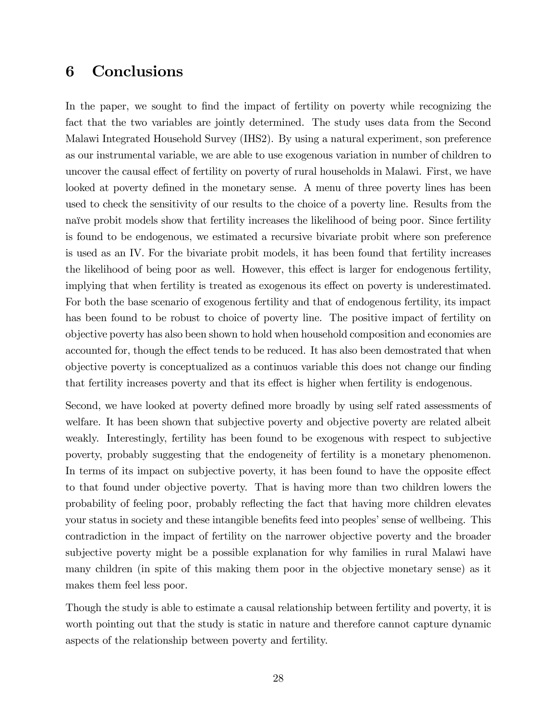# 6 Conclusions

In the paper, we sought to find the impact of fertility on poverty while recognizing the fact that the two variables are jointly determined. The study uses data from the Second Malawi Integrated Household Survey (IHS2). By using a natural experiment, son preference as our instrumental variable, we are able to use exogenous variation in number of children to uncover the causal effect of fertility on poverty of rural households in Malawi. First, we have looked at poverty defined in the monetary sense. A menu of three poverty lines has been used to check the sensitivity of our results to the choice of a poverty line. Results from the naïve probit models show that fertility increases the likelihood of being poor. Since fertility is found to be endogenous, we estimated a recursive bivariate probit where son preference is used as an IV. For the bivariate probit models, it has been found that fertility increases the likelihood of being poor as well. However, this effect is larger for endogenous fertility, implying that when fertility is treated as exogenous its effect on poverty is underestimated. For both the base scenario of exogenous fertility and that of endogenous fertility, its impact has been found to be robust to choice of poverty line. The positive impact of fertility on objective poverty has also been shown to hold when household composition and economies are accounted for, though the effect tends to be reduced. It has also been demostrated that when objective poverty is conceptualized as a continuous variable this does not change our finding that fertility increases poverty and that its effect is higher when fertility is endogenous.

Second, we have looked at poverty defined more broadly by using self rated assessments of welfare. It has been shown that subjective poverty and objective poverty are related albeit weakly. Interestingly, fertility has been found to be exogenous with respect to subjective poverty, probably suggesting that the endogeneity of fertility is a monetary phenomenon. In terms of its impact on subjective poverty, it has been found to have the opposite effect to that found under objective poverty. That is having more than two children lowers the probability of feeling poor, probably reáecting the fact that having more children elevates your status in society and these intangible benefits feed into peoples' sense of wellbeing. This contradiction in the impact of fertility on the narrower objective poverty and the broader subjective poverty might be a possible explanation for why families in rural Malawi have many children (in spite of this making them poor in the objective monetary sense) as it makes them feel less poor.

Though the study is able to estimate a causal relationship between fertility and poverty, it is worth pointing out that the study is static in nature and therefore cannot capture dynamic aspects of the relationship between poverty and fertility.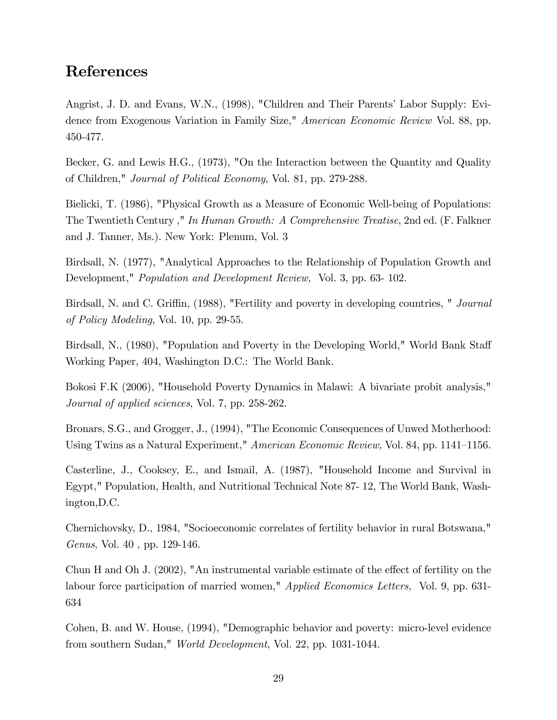# References

Angrist, J. D. and Evans, W.N., (1998), "Children and Their Parents' Labor Supply: Evidence from Exogenous Variation in Family Size," American Economic Review Vol. 88, pp. 450-477.

Becker, G. and Lewis H.G., (1973), "On the Interaction between the Quantity and Quality of Children," Journal of Political Economy, Vol. 81, pp. 279-288.

Bielicki, T. (1986), "Physical Growth as a Measure of Economic Well-being of Populations: The Twentieth Century ," In Human Growth: A Comprehensive Treatise, 2nd ed. (F. Falkner and J. Tanner, Ms.). New York: Plenum, Vol. 3

Birdsall, N. (1977), "Analytical Approaches to the Relationship of Population Growth and Development," Population and Development Review, Vol. 3, pp. 63- 102.

Birdsall, N. and C. Griffin, (1988), "Fertility and poverty in developing countries, " Journal of Policy Modeling, Vol. 10, pp. 29-55.

Birdsall, N., (1980), "Population and Poverty in the Developing World," World Bank Staff Working Paper, 404, Washington D.C.: The World Bank.

Bokosi F.K (2006), "Household Poverty Dynamics in Malawi: A bivariate probit analysis," Journal of applied sciences, Vol. 7, pp. 258-262.

Bronars, S.G., and Grogger, J., (1994), "The Economic Consequences of Unwed Motherhood: Using Twins as a Natural Experiment," American Economic Review, Vol. 84, pp. 1141–1156.

Casterline, J., Cooksey, E., and Ismail, A. (1987), "Household Income and Survival in Egypt," Population, Health, and Nutritional Technical Note 87- 12, The World Bank, Washington,D.C.

Chernichovsky, D., 1984, "Socioeconomic correlates of fertility behavior in rural Botswana," Genus, Vol. 40 , pp. 129-146.

Chun H and Oh J.  $(2002)$ , "An instrumental variable estimate of the effect of fertility on the labour force participation of married women," *Applied Economics Letters*, Vol. 9, pp. 631-634

Cohen, B. and W. House, (1994), "Demographic behavior and poverty: micro-level evidence from southern Sudan," World Development, Vol. 22, pp. 1031-1044.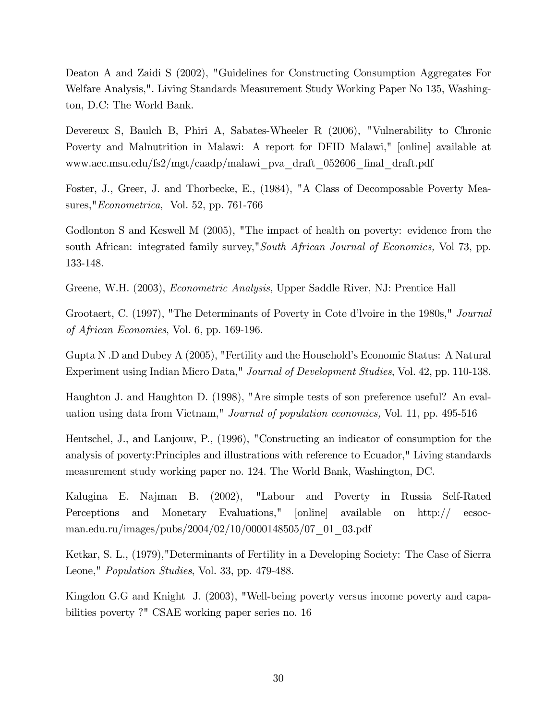Deaton A and Zaidi S (2002), "Guidelines for Constructing Consumption Aggregates For Welfare Analysis,". Living Standards Measurement Study Working Paper No 135, Washington, D.C: The World Bank.

Devereux S, Baulch B, Phiri A, Sabates-Wheeler R (2006), "Vulnerability to Chronic Poverty and Malnutrition in Malawi: A report for DFID Malawi," [online] available at www.aec.msu.edu/fs2/mgt/caadp/malawi\_pva\_draft\_052606\_Önal\_draft.pdf

Foster, J., Greer, J. and Thorbecke, E., (1984), "A Class of Decomposable Poverty Measures,"Econometrica, Vol. 52, pp. 761-766

Godlonton S and Keswell M (2005), "The impact of health on poverty: evidence from the south African: integrated family survey,"South African Journal of Economics, Vol 73, pp. 133-148.

Greene, W.H. (2003), Econometric Analysis, Upper Saddle River, NJ: Prentice Hall

Grootaert, C. (1997), "The Determinants of Poverty in Cote d'Ivoire in the 1980s," Journal of African Economies, Vol. 6, pp. 169-196.

Gupta N .D and Dubey A (2005), "Fertility and the Household's Economic Status: A Natural Experiment using Indian Micro Data," Journal of Development Studies, Vol. 42, pp. 110-138.

Haughton J. and Haughton D. (1998), "Are simple tests of son preference useful? An evaluation using data from Vietnam," Journal of population economics, Vol. 11, pp. 495-516

Hentschel, J., and Lanjouw, P., (1996), "Constructing an indicator of consumption for the analysis of poverty:Principles and illustrations with reference to Ecuador," Living standards measurement study working paper no. 124. The World Bank, Washington, DC.

Kalugina E. Najman B. (2002), "Labour and Poverty in Russia Self-Rated Perceptions and Monetary Evaluations," [online] available on http:// ecsocman.edu.ru/images/pubs/2004/02/10/0000148505/07\_01\_03.pdf

Ketkar, S. L., (1979),"Determinants of Fertility in a Developing Society: The Case of Sierra Leone," Population Studies, Vol. 33, pp. 479-488.

Kingdon G.G and Knight J. (2003), "Well-being poverty versus income poverty and capabilities poverty ?" CSAE working paper series no. 16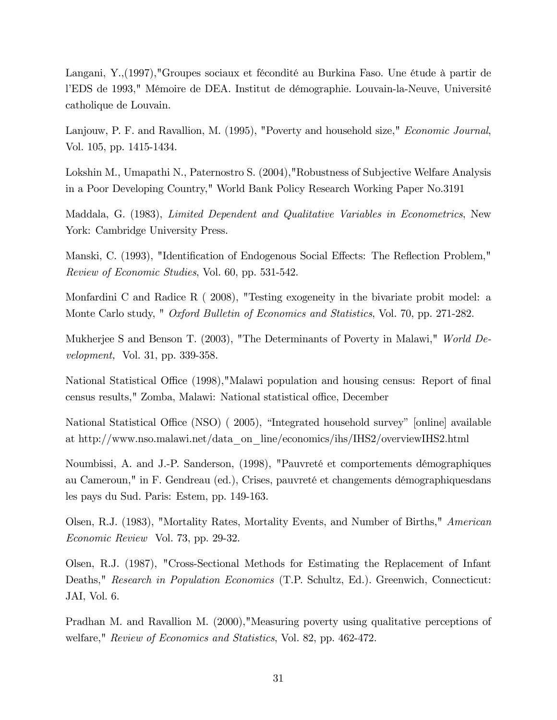Langani, Y.,(1997),"Groupes sociaux et fécondité au Burkina Faso. Une étude à partir de l'EDS de 1993," Mémoire de DEA. Institut de démographie. Louvain-la-Neuve, Université catholique de Louvain.

Lanjouw, P. F. and Ravallion, M. (1995), "Poverty and household size," *Economic Journal*, Vol. 105, pp. 1415-1434.

Lokshin M., Umapathi N., Paternostro S. (2004),"Robustness of Subjective Welfare Analysis in a Poor Developing Country," World Bank Policy Research Working Paper No.3191

Maddala, G. (1983), Limited Dependent and Qualitative Variables in Econometrics, New York: Cambridge University Press.

Manski, C. (1993), "Identification of Endogenous Social Effects: The Reflection Problem," Review of Economic Studies, Vol. 60, pp. 531-542.

Monfardini C and Radice R ( 2008), "Testing exogeneity in the bivariate probit model: a Monte Carlo study, " *Oxford Bulletin of Economics and Statistics*, Vol. 70, pp. 271-282.

Mukherjee S and Benson T. (2003), "The Determinants of Poverty in Malawi," World Development, Vol. 31, pp. 339-358.

National Statistical Office (1998), "Malawi population and housing census: Report of final census results," Zomba, Malawi: National statistical office, December

National Statistical Office (NSO) (2005), "Integrated household survey" [online] available at http://www.nso.malawi.net/data\_on\_line/economics/ihs/IHS2/overviewIHS2.html

Noumbissi, A. and J.-P. Sanderson, (1998), "Pauvreté et comportements démographiques au Cameroun," in F. Gendreau (ed.), Crises, pauvreté et changements démographiquesdans les pays du Sud. Paris: Estem, pp. 149-163.

Olsen, R.J. (1983), "Mortality Rates, Mortality Events, and Number of Births," American Economic Review Vol. 73, pp. 29-32.

Olsen, R.J. (1987), "Cross-Sectional Methods for Estimating the Replacement of Infant Deaths," Research in Population Economics (T.P. Schultz, Ed.). Greenwich, Connecticut: JAI, Vol. 6.

Pradhan M. and Ravallion M. (2000),"Measuring poverty using qualitative perceptions of welfare," Review of Economics and Statistics, Vol. 82, pp. 462-472.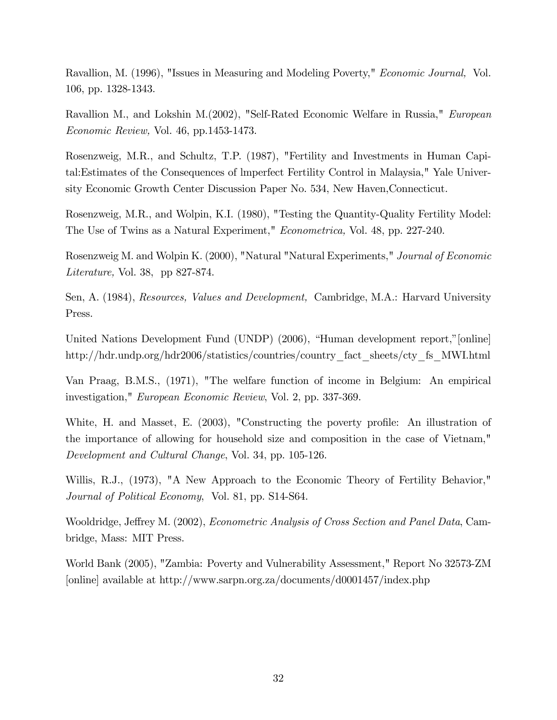Ravallion, M. (1996), "Issues in Measuring and Modeling Poverty," Economic Journal, Vol. 106, pp. 1328-1343.

Ravallion M., and Lokshin M.(2002), "Self-Rated Economic Welfare in Russia," European Economic Review, Vol. 46, pp.1453-1473.

Rosenzweig, M.R., and Schultz, T.P. (1987), "Fertility and Investments in Human Capital:Estimates of the Consequences of lmperfect Fertility Control in Malaysia," Yale University Economic Growth Center Discussion Paper No. 534, New Haven,Connecticut.

Rosenzweig, M.R., and Wolpin, K.I. (1980), "Testing the Quantity-Quality Fertility Model: The Use of Twins as a Natural Experiment," Econometrica, Vol. 48, pp. 227-240.

Rosenzweig M. and Wolpin K. (2000), "Natural "Natural Experiments," Journal of Economic Literature, Vol. 38, pp 827-874.

Sen, A. (1984), Resources, Values and Development, Cambridge, M.A.: Harvard University Press.

United Nations Development Fund (UNDP) (2006), "Human development report,"[online] http://hdr.undp.org/hdr2006/statistics/countries/country\_fact\_sheets/cty\_fs\_MWI.html

Van Praag, B.M.S., (1971), "The welfare function of income in Belgium: An empirical investigation," European Economic Review, Vol. 2, pp. 337-369.

White, H. and Masset, E.  $(2003)$ , "Constructing the poverty profile: An illustration of the importance of allowing for household size and composition in the case of Vietnam," Development and Cultural Change, Vol. 34, pp. 105-126.

Willis, R.J., (1973), "A New Approach to the Economic Theory of Fertility Behavior," Journal of Political Economy, Vol. 81, pp. S14-S64.

Wooldridge, Jeffrey M. (2002), *Econometric Analysis of Cross Section and Panel Data*, Cambridge, Mass: MIT Press.

World Bank (2005), "Zambia: Poverty and Vulnerability Assessment," Report No 32573-ZM [online] available at http://www.sarpn.org.za/documents/d0001457/index.php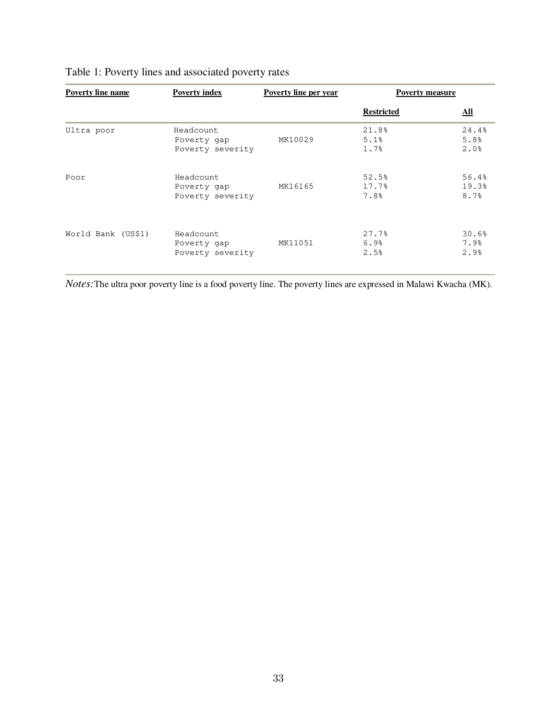| <b>Poverty line name</b> | <b>Poverty index</b>                         | Poverty line per year | <b>Poverty measure</b> |                            |
|--------------------------|----------------------------------------------|-----------------------|------------------------|----------------------------|
|                          |                                              |                       | <b>Restricted</b>      | $\underline{\mathbf{All}}$ |
| Ultra poor               | Headcount<br>Poverty gap<br>Poverty severity | MK10029               | 21.8%<br>5.1%<br>1.7%  | 24.4%<br>5.8%<br>2.0%      |
| Poor                     | Headcount<br>Poverty gap<br>Poverty severity | MK16165               | 52.5%<br>17.7%<br>7.8% | 56.4%<br>19.3%<br>8.7%     |
| World Bank (US\$1)       | Headcount<br>Poverty gap<br>Poverty severity | MK11051               | 27.7%<br>6.9%<br>2.5%  | 30.6%<br>7.9%<br>2.9%      |

# Table 1: Poverty lines and associated poverty rates

*Notes:*The ultra poor poverty line is a food poverty line. The poverty lines are expressed in Malawi Kwacha (MK).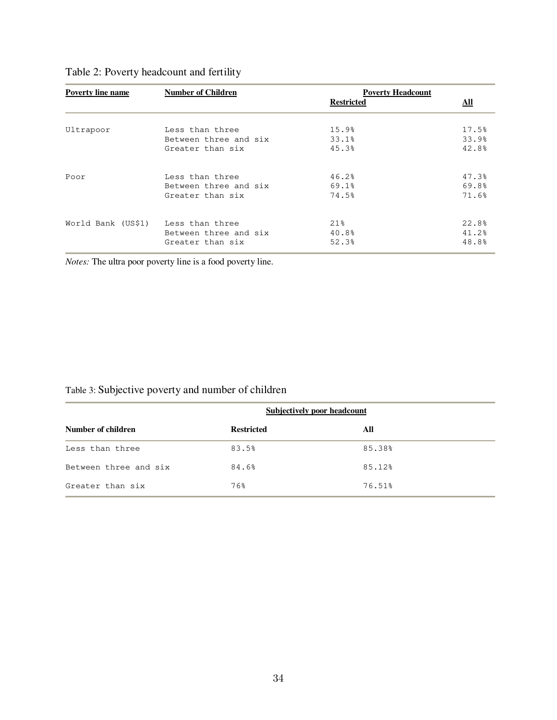| <b>Poverty line name</b>           | <b>Number of Children</b> | <b>Poverty Headcount</b><br><b>Restricted</b> | <u>All</u> |
|------------------------------------|---------------------------|-----------------------------------------------|------------|
|                                    |                           |                                               |            |
| Ultrapoor                          | Less than three           | 15.9%                                         | 17.5%      |
|                                    | Between three and six     | 33.1%                                         | 33.9%      |
|                                    | Greater than six          | 45.3%                                         | 42.8%      |
| Poor                               | Less than three           | 46.2%                                         | 47.3%      |
|                                    | Between three and six     | 69.1%                                         | 69.8%      |
|                                    | Greater than six          | 74.5%                                         | 71.6%      |
| World Bank (US\$1) Less than three |                           | 21%                                           | 22.8%      |
|                                    | Between three and six     | 40.8%                                         | 41.2%      |
|                                    | Greater than six          | 52.3%                                         | 48.8%      |

# Table 2: Poverty headcount and fertility

*Notes:* The ultra poor poverty line is a food poverty line.

# Table 3: Subjective poverty and number of children

|                       | Subjectively poor headcount |        |  |  |  |
|-----------------------|-----------------------------|--------|--|--|--|
| Number of children    | <b>Restricted</b>           | All    |  |  |  |
| Less than three       | 83.5%                       | 85.38% |  |  |  |
| Between three and six | 84.6%                       | 85.12% |  |  |  |
| Greater than six      | 76%                         | 76.51% |  |  |  |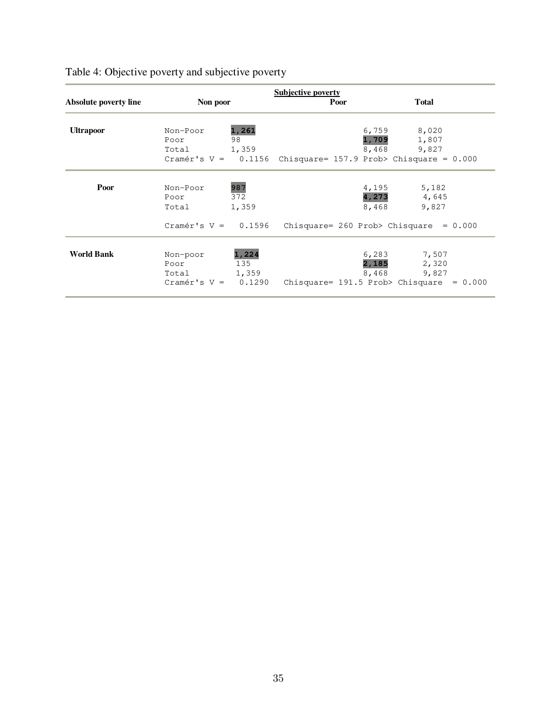|                       |                       |        | <b>Subjective poverty</b>                                      |       |              |           |
|-----------------------|-----------------------|--------|----------------------------------------------------------------|-------|--------------|-----------|
| Absolute poverty line | Non poor              |        | Poor                                                           |       | <b>Total</b> |           |
| <b>Ultrapoor</b>      | Non-Poor              | 1,261  |                                                                | 6,759 | 8,020        |           |
|                       | Poor                  | 98     |                                                                | 1,709 | 1,807        |           |
|                       | Total 1,359           |        |                                                                | 8,468 | 9,827        |           |
|                       |                       |        | Cramér's $V = 0.1156$ Chisquare= 157.9 Prob> Chisquare = 0.000 |       |              |           |
| Poor                  | Non-Poor              | 987    |                                                                | 4,195 | 5,182        |           |
|                       | Poor                  | 372    |                                                                | 4,273 | 4,645        |           |
|                       | Total                 | 1,359  |                                                                | 8,468 | 9,827        |           |
|                       | Cramér's $V = 0.1596$ |        | Chisquare= $260$ Prob> Chisquare = $0.000$                     |       |              |           |
| <b>World Bank</b>     | Non-poor              | 1,224  |                                                                | 6,283 | 7,507        |           |
|                       | Poor                  | 135    |                                                                | 2,185 | 2,320        |           |
|                       | Total                 | 1,359  |                                                                | 8,468 | 9,827        |           |
|                       | $Cramér's V =$        | 0.1290 | Chisquare= 191.5 Prob> Chisquare                               |       |              | $= 0.000$ |

# Table 4: Objective poverty and subjective poverty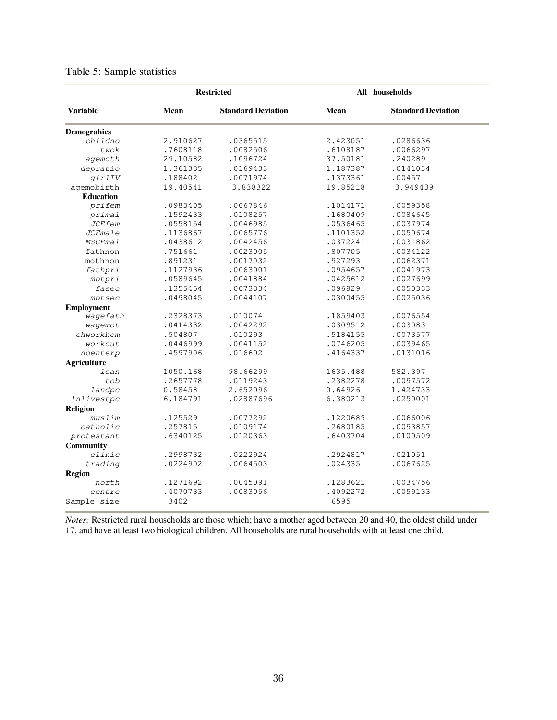|                    | <b>Restricted</b> |                           |          | All households            |
|--------------------|-------------------|---------------------------|----------|---------------------------|
| <b>Variable</b>    | <b>Mean</b>       | <b>Standard Deviation</b> | Mean     | <b>Standard Deviation</b> |
| <b>Demograhics</b> |                   |                           |          |                           |
| childno            | 2.910627          | .0365515                  | 2.423051 | .0286636                  |
| twok               | .7608118          | .0082506                  | .6108187 | .0066297                  |
| agemoth            | 29.10582          | .1096724                  | 37.50181 | .240289                   |
| depratio           | 1.361335          | .0169433                  | 1.187387 | .0141034                  |
| girlIV             | .188402           | .0071974                  | .1373361 | .00457                    |
| agemobirth         | 19.40541          | 3.838322                  | 19.85218 | 3.949439                  |
| <b>Education</b>   |                   |                           |          |                           |
| prifem             | .0983405          | .0067846                  | .1014171 | .0059358                  |
| primal             | .1592433          | .0108257                  | .1680409 | .0084645                  |
| <b>JCEfem</b>      | .0558154          | .0046985                  | .0536465 | .0037974                  |
| <b>JCEmale</b>     | .1136867          | .0065776                  | .1101352 | .0050674                  |
| <b>MSCEmal</b>     | .0438612          | .0042456                  | .0372241 | .0031862                  |
| fathnon            | .751661           | .0023005                  | .807705  | .0034122                  |
| mothnon            | .891231           | .0017032                  | .927293  | .0062371                  |
| fathpri            | .1127936          | .0063001                  | .0954657 | .0041973                  |
| motpri             | .0589645          | .0041884                  | .0425612 | .0027699                  |
| fasec              | .1355454          | .0073334                  | .096829  | .0050333                  |
| $m$ otsec          | .0498045          | .0044107                  | .0300455 | .0025036                  |
| <b>Employment</b>  |                   |                           |          |                           |
| wagefath           | .2328373          | .010074                   | .1859403 | .0076554                  |
| wagemot            | .0414332          | .0042292                  | .0309512 | .003083                   |
| chworkhom          | .504807           | .010293                   | .5184155 | .0073577                  |
| workout            | .0446999          | .0041152                  | .0746205 | .0039465                  |
| noenterp           | .4597906          | .016602                   | .4164337 | .0131016                  |
| <b>Agriculture</b> |                   |                           |          |                           |
| loan               | 1050.168          | 98.66299                  | 1635.488 | 582.397                   |
| tob                | .2657778          | .0119243                  | .2382278 | .0097572                  |
| landpc             | 0.58458           | 2.652096                  | 0.64926  | 1.424733                  |
| <i>lnlivestpc</i>  | 6.184791          | .02887696                 | 6.380213 | .0250001                  |
| <b>Religion</b>    |                   |                           |          |                           |
| muslim             | .125529           | .0077292                  | .1220689 | .0066006                  |
| catholic           | .257815           | .0109174                  | .2680185 | .0093857                  |
| protestant         | .6340125          | .0120363                  | .6403704 | .0100509                  |
| Community          |                   |                           |          |                           |
| clinic             | .2998732          | .0222924                  | .2924817 | .021051                   |
| trading            | .0224902          | .0064503                  | .024335  | .0067625                  |
| <b>Region</b>      |                   |                           |          |                           |
| north              | .1271692          | .0045091                  | .1283621 | .0034756                  |
| centre             | .4070733          | .0083056                  | .4092272 | .0059133                  |
| Sample size        | 3402              |                           | 6595     |                           |

### Table 5: Sample statistics

*Notes:* Restricted rural households are those which; have a mother aged between 20 and 40, the oldest child under 17, and have at least two biological children. All households are rural households with at least one child.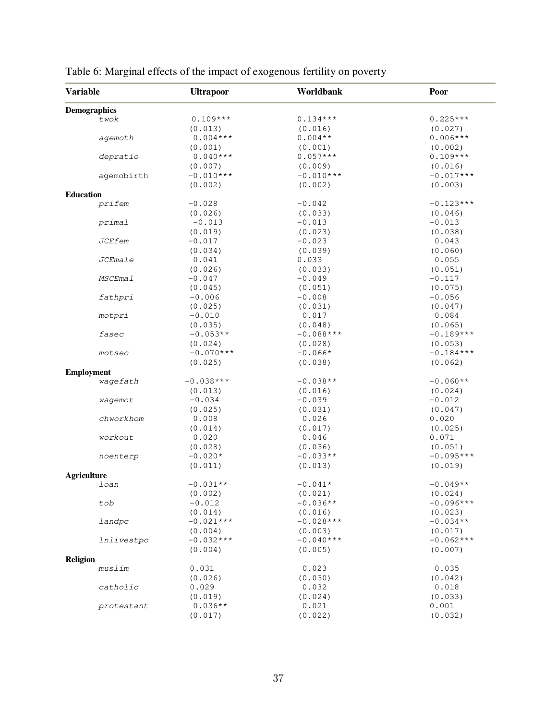| <b>Variable</b>     | <b>Ultrapoor</b> | Worldbank   | Poor        |
|---------------------|------------------|-------------|-------------|
| <b>Demographics</b> |                  |             |             |
| twok                | $0.109***$       | $0.134***$  | $0.225***$  |
|                     | (0.013)          | (0.016)     | (0.027)     |
| agemoth             | $0.004***$       | $0.004**$   | $0.006***$  |
|                     | (0.001)          | (0.001)     | (0.002)     |
| depratio            | $0.040***$       | $0.057***$  | $0.109***$  |
|                     | (0.007)          | (0.009)     | (0.016)     |
|                     | $-0.010***$      | $-0.010***$ | $-0.017***$ |
| agemobirth          |                  |             |             |
|                     | (0.002)          | (0.002)     | (0.003)     |
| <b>Education</b>    |                  |             |             |
| prifem              | $-0.028$         | $-0.042$    | $-0.123***$ |
|                     | (0.026)          | (0.033)     | (0.046)     |
| primal              | $-0.013$         | $-0.013$    | $-0.013$    |
|                     | (0.019)          | (0.023)     | (0.038)     |
| <b>JCEfem</b>       | $-0.017$         | $-0.023$    | 0.043       |
|                     | (0.034)          | (0.039)     | (0.060)     |
| JCEmale             | 0.041            | 0.033       | 0.055       |
|                     | (0.026)          | (0.033)     | (0.051)     |
| <b>MSCEmal</b>      | $-0.047$         | $-0.049$    | $-0.117$    |
|                     | (0.045)          | (0.051)     | (0.075)     |
| fathpri             | $-0.006$         | $-0.008$    | $-0.056$    |
|                     |                  |             |             |
|                     | (0.025)          | (0.031)     | (0.047)     |
| motpri              | $-0.010$         | 0.017       | 0.084       |
|                     | (0.035)          | (0.048)     | (0.065)     |
| fasec               | $-0.053**$       | $-0.088***$ | $-0.189***$ |
|                     | (0.024)          | (0.028)     | (0.053)     |
| motsec              | $-0.070***$      | $-0.066*$   | $-0.184***$ |
|                     | (0.025)          | (0.038)     | (0.062)     |
| <b>Employment</b>   |                  |             |             |
| wagefath            | $-0.038***$      | $-0.038**$  | $-0.060**$  |
|                     | (0.013)          | (0.016)     | (0.024)     |
| waqemot             | $-0.034$         | $-0.039$    | $-0.012$    |
|                     | (0.025)          | (0.031)     | (0.047)     |
| chworkhom           | 0.008            | 0.026       | 0.020       |
|                     | (0.014)          | (0.017)     | (0.025)     |
| workout             | 0.020            | 0.046       | 0.071       |
|                     |                  |             |             |
|                     | (0.028)          | (0.036)     | (0.051)     |
| noenterp            | $-0.020*$        | $-0.033**$  | $-0.095***$ |
|                     | (0.011)          | (0.013)     | (0.019)     |
| <b>Agriculture</b>  |                  |             |             |
| loan                | $-0.031**$       | $-0.041*$   | $-0.049**$  |
|                     | (0.002)          | (0.021)     | (0.024)     |
| tob                 | $-0.012$         | $-0.036**$  | $-0.096***$ |
|                     | (0.014)          | (0.016)     | (0.023)     |
| landpc              | $-0.021***$      | $-0.028***$ | $-0.034**$  |
|                     | (0.004)          | (0.003)     | (0.017)     |
| <i>lnlivestpc</i>   | $-0.032***$      | $-0.040***$ | $-0.062***$ |
|                     | (0.004)          | (0.005)     | (0.007)     |
| <b>Religion</b>     |                  |             |             |
| muslim              | 0.031            | 0.023       | 0.035       |
|                     | (0.026)          | (0.030)     | (0.042)     |
| catholic            |                  |             |             |
|                     | 0.029            | 0.032       | 0.018       |
|                     | (0.019)          | (0.024)     | (0.033)     |
| protestant          | $0.036**$        | 0.021       | 0.001       |
|                     | (0.017)          | (0.022)     | (0.032)     |

# Table 6: Marginal effects of the impact of exogenous fertility on poverty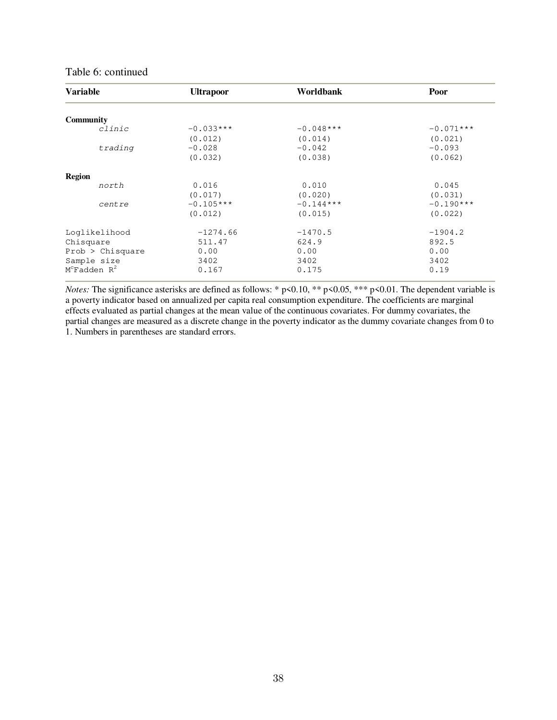### Table 6: continued

| <b>Variable</b>               | <b>Ultrapoor</b> | Worldbank   | Poor        |
|-------------------------------|------------------|-------------|-------------|
| <b>Community</b>              |                  |             |             |
| clinic                        | $-0.033***$      | $-0.048***$ | $-0.071***$ |
|                               | (0.012)          | (0.014)     | (0.021)     |
| trading                       | $-0.028$         | $-0.042$    | $-0.093$    |
|                               | (0.032)          | (0.038)     | (0.062)     |
| <b>Region</b>                 |                  |             |             |
| north                         | 0.016            | 0.010       | 0.045       |
|                               | (0.017)          | (0.020)     | (0.031)     |
| centre                        | $-0.105***$      | $-0.144***$ | $-0.190***$ |
|                               | (0.012)          | (0.015)     | (0.022)     |
| Loglikelihood                 | $-1274.66$       | $-1470.5$   | $-1904.2$   |
| Chisquare                     | 511.47           | 624.9       | 892.5       |
| Prob > Chisquare              | 0.00             | 0.00        | 0.00        |
| Sample size                   | 3402             | 3402        | 3402        |
| $M^{c}$ Fadden R <sup>2</sup> | 0.167            | 0.175       | 0.19        |

*Notes:* The significance asterisks are defined as follows: \* p<0.10, \*\* p<0.05, \*\*\* p<0.01. The dependent variable is a poverty indicator based on annualized per capita real consumption expenditure. The coefficients are marginal effects evaluated as partial changes at the mean value of the continuous covariates. For dummy covariates, the partial changes are measured as a discrete change in the poverty indicator as the dummy covariate changes from 0 to 1. Numbers in parentheses are standard errors.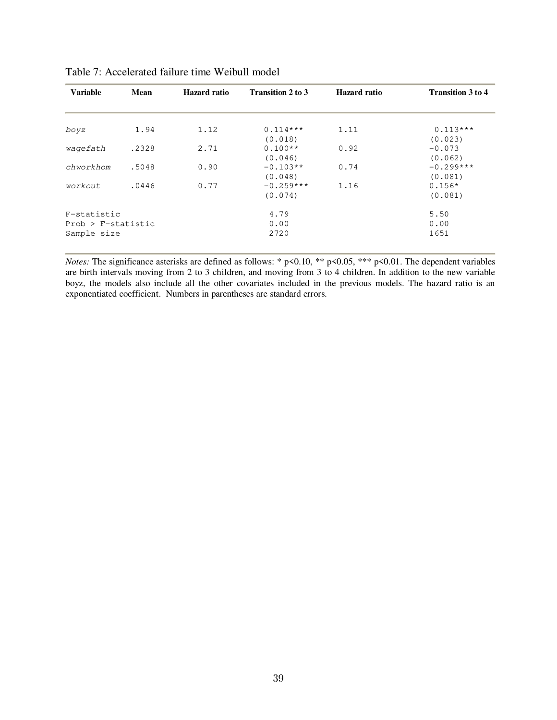| <b>Variable</b>        | <b>Mean</b> | <b>Hazard</b> ratio | <b>Transition 2 to 3</b> | <b>Hazard</b> ratio | <b>Transition 3 to 4</b> |
|------------------------|-------------|---------------------|--------------------------|---------------------|--------------------------|
|                        |             |                     |                          |                     |                          |
| boyz                   | 1.94        | 1.12                | $0.114***$<br>(0.018)    | 1.11                | $0.113***$<br>(0.023)    |
| waqefath               | .2328       | 2.71                | $0.100**$<br>(0.046)     | 0.92                | $-0.073$<br>(0.062)      |
| chworkhom              | .5048       | 0.90                | $-0.103**$<br>(0.048)    | 0.74                | $-0.299***$<br>(0.081)   |
| workout                | .0446       | 0.77                | $-0.259***$<br>(0.074)   | 1.16                | $0.156*$<br>(0.081)      |
| F-statistic            |             |                     | 4.79                     |                     | 5.50                     |
| $Prob$ > $F-statistic$ |             |                     | 0.00                     |                     | 0.00                     |
| Sample size            |             |                     | 2720                     |                     | 1651                     |

| Table 7: Accelerated failure time Weibull model |
|-------------------------------------------------|
|-------------------------------------------------|

*Notes:* The significance asterisks are defined as follows: \* p<0.10, \*\* p<0.05, \*\*\* p<0.01. The dependent variables are birth intervals moving from 2 to 3 children, and moving from 3 to 4 children. In addition to the new variable boyz, the models also include all the other covariates included in the previous models. The hazard ratio is an exponentiated coefficient. Numbers in parentheses are standard errors.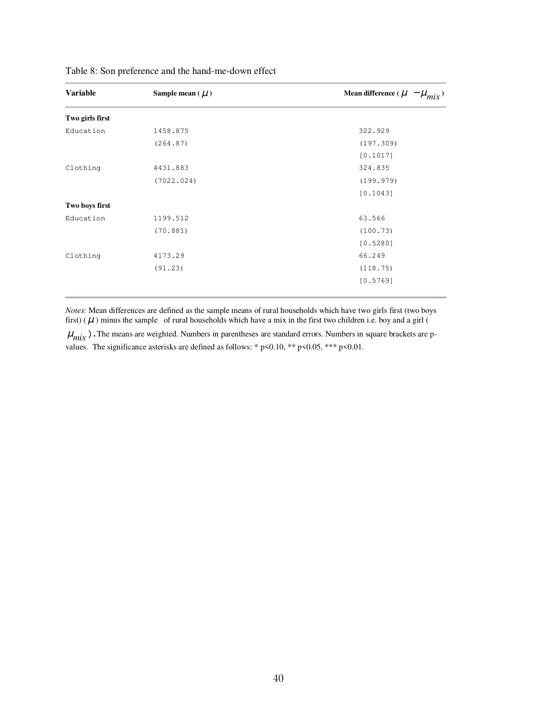| Sample mean ( $\mu$ ) | Mean difference ( $\mu - \mu_{mix}$ ) |
|-----------------------|---------------------------------------|
|                       |                                       |
| 1458.875              | 322.929                               |
| (264.87)              | (197.309)                             |
|                       | [0.1017]                              |
| 4431.883              | 324.835                               |
| (7022.024)            | (199.979)                             |
|                       | [0.1043]                              |
|                       |                                       |
| 1199.512              | 63.566                                |
| (70.881)              | (100.73)                              |
|                       | [0.5280]                              |
| 4173.29               | 66.249                                |
| (91.23)               | (118.75)                              |
|                       | [0.5769]                              |
|                       |                                       |

Table 8: Son preference and the hand-me-down effect

*Notes*: Mean differences are defined as the sample means of rural households which have two girls first (two boys first) ( $\mu$ ) minus the sample of rural households which have a mix in the first two children i.e. boy and a girl (

 $\mu_{mix}$ ). The means are weighted. Numbers in parentheses are standard errors. Numbers in square brackets are pvalues. The significance asterisks are defined as follows: \*  $p$  < 0.10, \*\*  $p$  < 0.05, \*\*\*  $p$  < 0.01.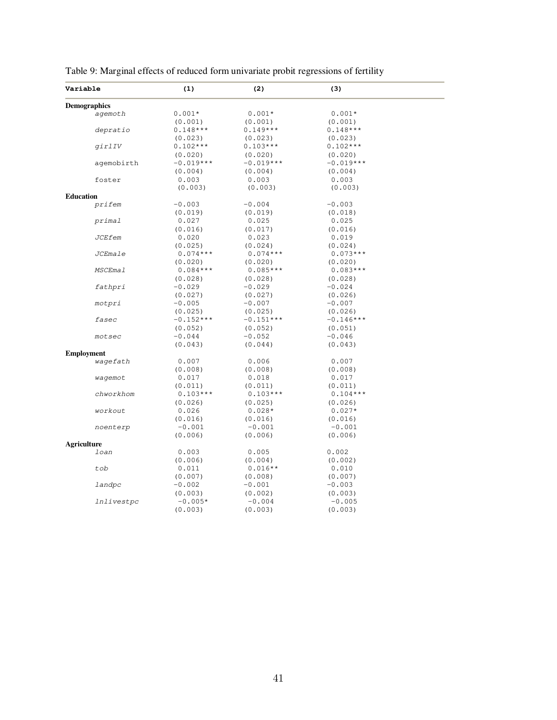| Variable            | (1)         | (2)         | (3)         |  |
|---------------------|-------------|-------------|-------------|--|
| <b>Demographics</b> |             |             |             |  |
| agemoth             | $0.001*$    | $0.001*$    | $0.001*$    |  |
|                     | (0.001)     | (0.001)     | (0.001)     |  |
| depratio            | $0.148***$  | $0.149***$  | $0.148***$  |  |
|                     | (0.023)     | (0.023)     | (0.023)     |  |
| girlIV              | $0.102***$  | $0.103***$  | $0.102***$  |  |
|                     | (0.020)     | (0.020)     | (0.020)     |  |
| agemobirth          | $-0.019***$ | $-0.019***$ | $-0.019***$ |  |
|                     | (0.004)     | (0.004)     | (0.004)     |  |
| foster              | 0.003       | 0.003       | 0.003       |  |
|                     | (0.003)     | (0.003)     | (0.003)     |  |
| <b>Education</b>    |             |             |             |  |
| prifem              | $-0.003$    | $-0.004$    | $-0.003$    |  |
|                     | (0.019)     | (0.019)     | (0.018)     |  |
| primal              | 0.027       | 0.025       | 0.025       |  |
|                     | (0.016)     | (0.017)     | (0.016)     |  |
| <b>JCEfem</b>       | 0.020       | 0.023       | 0.019       |  |
|                     | (0.025)     | (0.024)     | (0.024)     |  |
| JCEmale             | $0.074***$  | $0.074***$  | $0.073***$  |  |
|                     | (0.020)     | (0.020)     | (0.020)     |  |
| <b>MSCEmal</b>      | $0.084***$  | $0.085***$  | $0.083***$  |  |
|                     |             |             |             |  |
|                     | (0.028)     | (0.028)     | (0.028)     |  |
| fathpri             | -0.029      | $-0.029$    | $-0.024$    |  |
|                     | (0.027)     | (0.027)     | (0.026)     |  |
| motpri              | $-0.005$    | $-0.007$    | $-0.007$    |  |
|                     | (0.025)     | (0.025)     | (0.026)     |  |
| fasec               | $-0.152***$ | $-0.151***$ | $-0.146***$ |  |
|                     | (0.052)     | (0.052)     | (0.051)     |  |
| motsec              | $-0.044$    | $-0.052$    | $-0.046$    |  |
|                     | (0.043)     | (0.044)     | (0.043)     |  |
| <b>Employment</b>   |             |             |             |  |
| wagefath            | 0.007       | 0.006       | 0.007       |  |
|                     | (0.008)     | (0.008)     | (0.008)     |  |
| wagemot             | 0.017       | 0.018       | 0.017       |  |
|                     | (0.011)     | (0.011)     | (0.011)     |  |
| chworkhom           | $0.103***$  | $0.103***$  | $0.104***$  |  |
|                     | (0.026)     | (0.025)     | (0.026)     |  |
| workout             | 0.026       | $0.028*$    | $0.027*$    |  |
|                     | (0.016)     | (0.016)     | (0.016)     |  |
| noenterp            | $-0.001$    | $-0.001$    | $-0.001$    |  |
|                     | (0.006)     | (0.006)     | (0.006)     |  |
| <b>Agriculture</b>  |             |             |             |  |
| loan                | 0.003       | 0.005       | 0.002       |  |
|                     | (0.006)     | (0.004)     | (0.002)     |  |
| tob                 | 0.011       | $0.016**$   | 0.010       |  |
|                     | (0.007)     | (0.008)     | (0.007)     |  |
| landpc              | $-0.002$    | $-0.001$    | $-0.003$    |  |
|                     | (0.003)     | (0.002)     | (0.003)     |  |
| <i>Inlivestpc</i>   | $-0.005*$   | $-0.004$    | $-0.005$    |  |
|                     | (0.003)     | (0.003)     | (0.003)     |  |

Table 9: Marginal effects of reduced form univariate probit regressions of fertility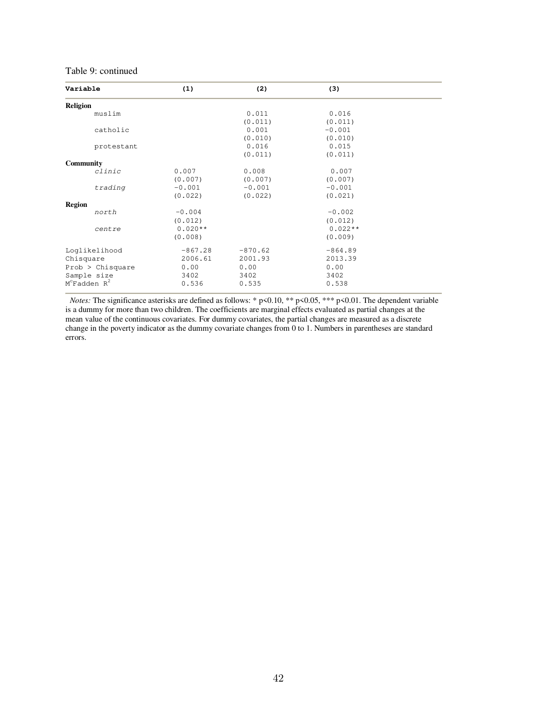#### Table 9: continued

| Variable           | (1)       | (2)       | (3)       |  |
|--------------------|-----------|-----------|-----------|--|
| <b>Religion</b>    |           |           |           |  |
| muslim             |           | 0.011     | 0.016     |  |
|                    |           | (0.011)   | (0.011)   |  |
| catholic           |           | 0.001     | $-0.001$  |  |
|                    |           | (0.010)   | (0.010)   |  |
| protestant         |           | 0.016     | 0.015     |  |
|                    |           | (0.011)   | (0.011)   |  |
| <b>Community</b>   |           |           |           |  |
| clinic             | 0.007     | 0.008     | 0.007     |  |
|                    | (0.007)   | (0.007)   | (0.007)   |  |
| trading            | $-0.001$  | $-0.001$  | $-0.001$  |  |
|                    | (0.022)   | (0.022)   | (0.021)   |  |
| <b>Region</b>      |           |           |           |  |
| north              | $-0.004$  |           | $-0.002$  |  |
|                    | (0.012)   |           | (0.012)   |  |
| centre             | $0.020**$ |           | $0.022**$ |  |
|                    | (0.008)   |           | (0.009)   |  |
| Loqlikelihood      | $-867.28$ | $-870.62$ | $-864.89$ |  |
| Chisquare          | 2006.61   | 2001.93   | 2013.39   |  |
| Prob > Chisquare   | 0.00      | 0.00      | 0.00      |  |
| Sample size        | 3402      | 3402      | 3402      |  |
| $M^c$ Fadden $R^2$ | 0.536     | 0.535     | 0.538     |  |

*Notes:* The significance asterisks are defined as follows: \* p<0.10, \*\* p<0.05, \*\*\* p<0.01. The dependent variable is a dummy for more than two children. The coefficients are marginal effects evaluated as partial changes at the mean value of the continuous covariates. For dummy covariates, the partial changes are measured as a discrete change in the poverty indicator as the dummy covariate changes from 0 to 1. Numbers in parentheses are standard errors.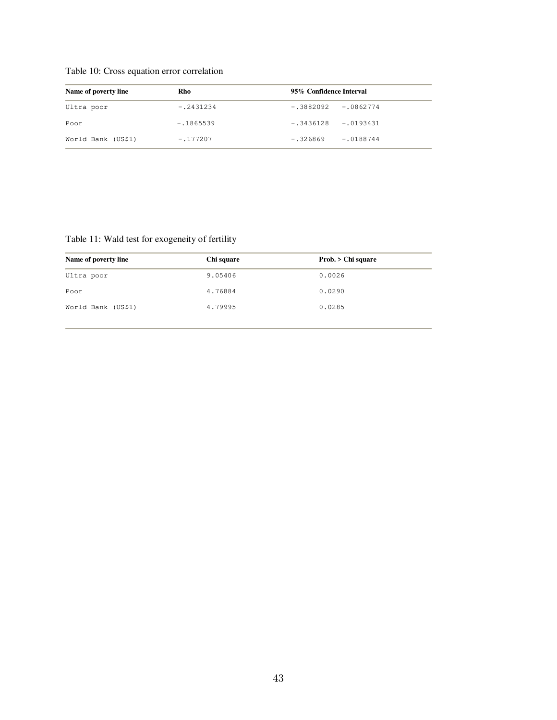| Table 10: Cross equation error correlation |  |  |
|--------------------------------------------|--|--|
|--------------------------------------------|--|--|

| Name of poverty line | Rho         | 95% Confidence Interval   |
|----------------------|-------------|---------------------------|
| Ultra poor           | $-.2431234$ | $-.0862774$<br>-.3882092  |
| Poor                 | $-.1865539$ | $-.3436128 - .0193431$    |
| World Bank (US\$1)   | $-.177207$  | $-.0188744$<br>$-.326869$ |

### Table 11: Wald test for exogeneity of fertility

| Name of poverty line | Chi square | Prob. > Chi square |
|----------------------|------------|--------------------|
| Ultra poor           | 9.05406    | 0.0026             |
| Poor                 | 4.76884    | 0.0290             |
| World Bank (US\$1)   | 4.79995    | 0.0285             |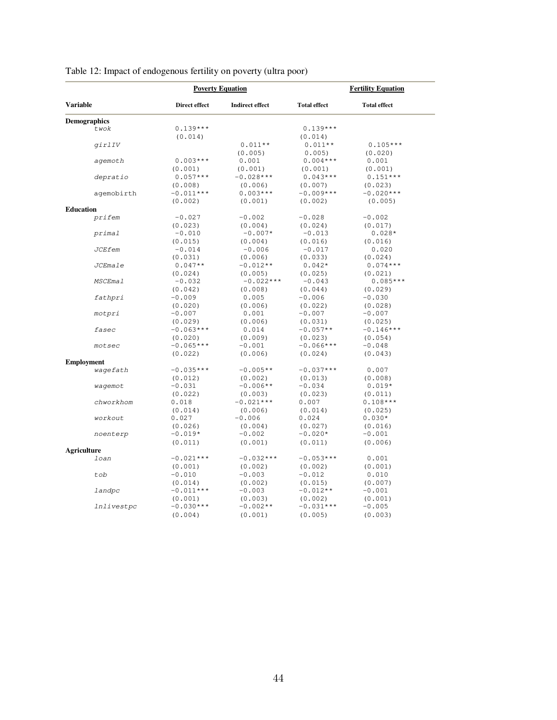|                     | <b>Poverty Equation</b> |                        | <b>Fertility Equation</b> |                     |
|---------------------|-------------------------|------------------------|---------------------------|---------------------|
| <b>Variable</b>     | Direct effect           | <b>Indirect effect</b> | <b>Total effect</b>       | <b>Total effect</b> |
| <b>Demographics</b> |                         |                        |                           |                     |
| twok                | $0.139***$              |                        | $0.139***$                |                     |
|                     | (0.014)                 |                        | (0.014)                   |                     |
| girlIV              |                         | $0.011**$              | $0.011**$                 | $0.105***$          |
|                     |                         | (0.005)                | 0.005                     | (0.020)             |
| agemoth             | $0.003***$              | 0.001                  | $0.004***$                | 0.001               |
|                     | (0.001)                 | (0.001)                | (0.001)                   | (0.001)             |
| depratio            | $0.057***$              | $-0.028***$            | $0.043***$                | $0.151***$          |
|                     | (0.008)                 | (0.006)                | (0.007)                   | (0.023)             |
| agemobirth          | $-0.011***$             | $0.003***$             | $-0.009***$               | $-0.020***$         |
|                     | (0.002)                 | (0.001)                | (0.002)                   | (0.005)             |
| <b>Education</b>    |                         |                        |                           |                     |
| prifem              | $-0.027$                | $-0.002$               | $-0.028$                  | $-0.002$            |
|                     | (0.023)                 | (0.004)                | (0.024)                   | (0.017)             |
| primal              | $-0.010$                | $-0.007*$              | $-0.013$                  | $0.028*$            |
|                     | (0.015)                 | (0.004)                | (0.016)                   | (0.016)             |
| <b>JCEfem</b>       | $-0.014$                | $-0.006$               | $-0.017$                  | 0.020               |
|                     | (0.031)                 | (0.006)                | (0.033)                   | (0.024)             |
| <b>JCEmale</b>      | $0.047**$               | $-0.012**$             | $0.042*$                  | $0.074***$          |
|                     | (0.024)                 | (0.005)                | (0.025)                   | (0.021)             |
| <b>MSCEmal</b>      | $-0.032$                | $-0.022***$            | $-0.043$                  | $0.085***$          |
|                     | (0.042)                 | (0.008)                | (0.044)                   | (0.029)             |
| fathpri             | $-0.009$                | 0.005                  | $-0.006$                  | $-0.030$            |
|                     | (0.020)                 | (0.006)                | (0.022)                   | (0.028)             |
| motpri              | $-0.007$                | 0.001                  | $-0.007$                  | $-0.007$            |
|                     | (0.029)                 | (0.006)                | (0.031)                   | (0.025)             |
| fasec               | $-0.063***$             |                        | $-0.057**$                | $-0.146***$         |
|                     |                         | 0.014                  |                           |                     |
| motsec              | (0.020)<br>$-0.065***$  | (0.009)<br>$-0.001$    | (0.023)<br>$-0.066***$    | (0.054)<br>$-0.048$ |
|                     |                         |                        |                           |                     |
|                     | (0.022)                 | (0.006)                | (0.024)                   | (0.043)             |
| <b>Employment</b>   |                         |                        |                           |                     |
| wagefath            | $-0.035***$             | $-0.005**$             | $-0.037***$               | 0.007               |
|                     | (0.012)                 | (0.002)                | (0.013)                   | (0.008)             |
| wagemot             | $-0.031$                | $-0.006**$             | $-0.034$                  | $0.019*$            |
|                     | (0.022)                 | (0.003)                | (0.023)                   | (0.011)             |
| chworkhom           | 0.018                   | $-0.021***$            | 0.007                     | $0.108***$          |
| workout             | (0.014)                 | (0.006)                | (0.014)                   | (0.025)             |
|                     | 0.027                   | $-0.006$               | 0.024                     | $0.030*$            |
|                     | (0.026)                 | (0.004)                | (0.027)                   | (0.016)             |
| noenterp            | $-0.019*$               | $-0.002$               | $-0.020*$                 | $-0.001$            |
|                     | (0.011)                 | (0.001)                | (0.011)                   | (0.006)             |
| <b>Agriculture</b>  |                         |                        |                           |                     |
| loan                | $-0.021***$             | $-0.032***$            | $-0.053***$               | 0.001               |
|                     | (0.001)                 | (0.002)                | (0.002)                   | (0.001)             |
| tob                 | $-0.010$                | $-0.003$               | $-0.012$                  | 0.010               |
|                     | (0.014)                 | (0.002)                | (0.015)                   | (0.007)             |
| landpc              | $-0.011***$             | $-0.003$               | $-0.012**$                | $-0.001$            |
|                     | (0.001)                 | (0.003)                | (0.002)                   | (0.001)             |
| lnlivestpc          | $-0.030***$             | $-0.002**$             | $-0.031***$               | $-0.005$            |
|                     | (0.004)                 | (0.001)                | (0.005)                   | (0.003)             |

### Table 12: Impact of endogenous fertility on poverty (ultra poor)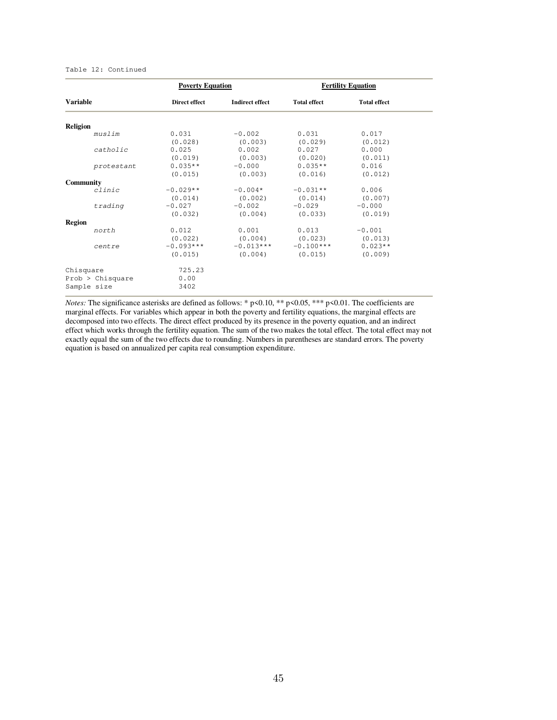#### Table 12: Continued

|                 |                  | <b>Poverty Equation</b> |                        |                         | <b>Fertility Equation</b> |  |  |
|-----------------|------------------|-------------------------|------------------------|-------------------------|---------------------------|--|--|
| <b>Variable</b> |                  | Direct effect           | <b>Indirect effect</b> | <b>Total effect</b>     | <b>Total effect</b>       |  |  |
|                 |                  |                         |                        |                         |                           |  |  |
| <b>Religion</b> | muslim           | 0.031                   | $-0.002$               | 0.031                   |                           |  |  |
|                 |                  |                         |                        |                         | 0.017                     |  |  |
|                 |                  | (0.028)                 | (0.003)                | (0.029)                 | (0.012)                   |  |  |
|                 | catholic         | 0.025                   | 0.002                  | 0.027                   | 0.000                     |  |  |
|                 |                  | (0.019)                 | (0.003)                | (0.020)                 | (0.011)                   |  |  |
|                 | protestant       | $0.035**$               | $-0.000$               | $0.035**$               | 0.016                     |  |  |
|                 |                  | (0.015)                 | (0.003)                | (0.016)                 | (0.012)                   |  |  |
| Community       |                  |                         |                        |                         |                           |  |  |
|                 | clinic           | $-0.029**$              | $-0.004*$              | $-0.031**$              | 0.006                     |  |  |
|                 |                  | (0.014)                 | (0.002)                | (0.014)                 | (0.007)                   |  |  |
|                 | trading          | $-0.027$                | $-0.002$               | $-0.029$                | $-0.000$                  |  |  |
|                 |                  | (0.032)                 | (0.004)                | (0.033)                 | (0.019)                   |  |  |
| <b>Region</b>   |                  |                         |                        |                         |                           |  |  |
|                 | north            | 0.012                   | 0.001                  | 0.013                   | $-0.001$                  |  |  |
|                 |                  | (0.022)                 | (0.004)                | (0.023)                 | (0.013)                   |  |  |
|                 | centre           | $-0.093***$             |                        | $-0.013***$ $-0.100***$ | $0.023**$                 |  |  |
|                 |                  | (0.015)                 | (0.004)                | (0.015)                 | (0.009)                   |  |  |
| Chisquare       |                  | 725.23                  |                        |                         |                           |  |  |
|                 | Prob > Chisquare | 0.00                    |                        |                         |                           |  |  |
| Sample size     |                  | 3402                    |                        |                         |                           |  |  |

*Notes:* The significance asterisks are defined as follows: \* p<0.10, \*\* p<0.05, \*\*\* p<0.01. The coefficients are marginal effects. For variables which appear in both the poverty and fertility equations, the marginal effects are decomposed into two effects. The direct effect produced by its presence in the poverty equation, and an indirect effect which works through the fertility equation. The sum of the two makes the total effect. The total effect may not exactly equal the sum of the two effects due to rounding. Numbers in parentheses are standard errors. The poverty equation is based on annualized per capita real consumption expenditure.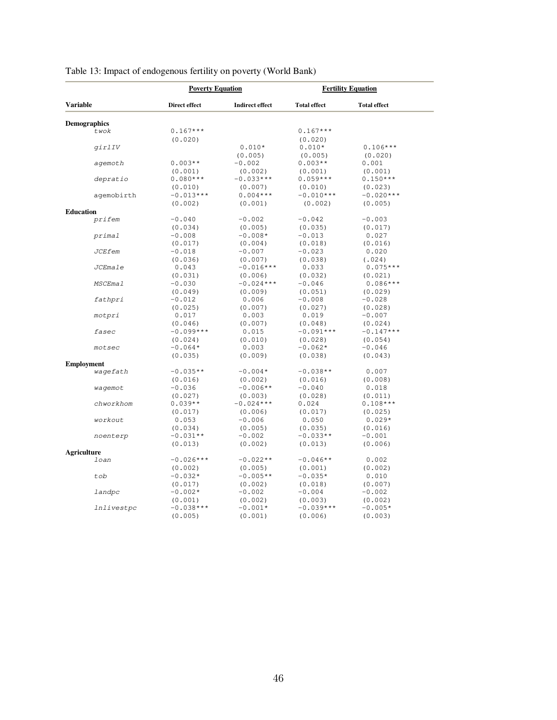|                               | <b>Poverty Equation</b> |                        | <b>Fertility Equation</b> |                       |
|-------------------------------|-------------------------|------------------------|---------------------------|-----------------------|
| <b>Variable</b>               | Direct effect           | <b>Indirect effect</b> | <b>Total effect</b>       | <b>Total effect</b>   |
| <b>Demographics</b>           |                         |                        |                           |                       |
| twok                          | $0.167***$<br>(0.020)   |                        | $0.167***$<br>(0.020)     |                       |
| girlIV                        |                         | $0.010*$<br>(0.005)    | $0.010*$<br>(0.005)       | $0.106***$<br>(0.020) |
| agemoth                       | $0.003**$               | $-0.002$               | $0.003**$                 | 0.001                 |
|                               | (0.001)                 | (0.002)                | (0.001)                   | (0.001)               |
| depratio                      | $0.080***$              | $-0.033***$            | $0.059***$                | $0.150***$            |
|                               | (0.010)                 | (0.007)                | (0.010)                   | (0.023)               |
| agemobirth                    | $-0.013***$             | $0.004***$             | $-0.010***$               | $-0.020***$           |
|                               | (0.002)                 | (0.001)                | (0.002)                   | (0.005)               |
| <b>Education</b>              |                         |                        |                           |                       |
| prifem                        | $-0.040$                | $-0.002$               | $-0.042$                  | $-0.003$              |
|                               | (0.034)                 | (0.005)                | (0.035)                   | (0.017)               |
| primal                        | $-0.008$                | $-0.008*$              | $-0.013$                  | 0.027                 |
|                               | (0.017)                 | (0.004)                | (0.018)                   | (0.016)               |
| <b>JCEfem</b>                 | $-0.018$                | $-0.007$               | $-0.023$                  | 0.020                 |
|                               | (0.036)                 | (0.007)                | (0.038)                   | (.024)                |
| <b>JCEmale</b>                | 0.043                   | $-0.016***$            | 0.033                     | $0.075***$            |
| <b>MSCEmal</b>                | (0.031)                 | (0.006)                | (0.032)                   | (0.021)               |
|                               | $-0.030$                | $-0.024***$            | $-0.046$                  | $0.086***$            |
| fathpri                       | (0.049)                 | (0.009)                | (0.051)                   | (0.029)               |
|                               | $-0.012$                | 0.006                  | $-0.008$                  | $-0.028$              |
| motpri                        | (0.025)                 | (0.007)                | (0.027)                   | (0.028)               |
|                               | 0.017                   | 0.003                  | 0.019                     | $-0.007$              |
| fasec                         | (0.046)                 | (0.007)                | (0.048)                   | (0.024)               |
|                               | $-0.099***$             | 0.015                  | $-0.091***$               | $-0.147***$           |
| motsec                        | (0.024)                 | (0.010)                | (0.028)                   | (0.054)               |
|                               | $-0.064*$               | 0.003                  | $-0.062*$                 | $-0.046$              |
|                               | (0.035)                 | (0.009)                | (0.038)                   | (0.043)               |
| <b>Employment</b><br>wagefath | $-0.035**$              | $-0.004*$              | $-0.038**$                | 0.007                 |
| wagemot                       | (0.016)                 | (0.002)                | (0.016)                   | (0.008)               |
|                               | $-0.036$                | $-0.006**$             | $-0.040$                  | 0.018                 |
| chworkhom                     | (0.027)                 | (0.003)                | (0.028)                   | (0.011)               |
|                               | $0.039**$               | $-0.024***$            | 0.024                     | $0.108***$            |
| workout                       | (0.017)                 | (0.006)                | (0.017)                   | (0.025)               |
|                               | 0.053                   | $-0.006$               | 0.050                     | $0.029*$              |
|                               | (0.034)                 | (0.005)                | (0.035)                   | (0.016)               |
| noenterp                      | $-0.031**$              | $-0.002$               | $-0.033**$                | $-0.001$              |
|                               | (0.013)                 | (0.002)                | (0.013)                   | (0.006)               |
| <b>Agriculture</b>            |                         |                        |                           |                       |
| loan                          | $-0.026***$             | $-0.022**$             | $-0.046**$                | 0.002                 |
|                               | (0.002)                 | (0.005)                | (0.001)                   | (0.002)               |
| tob                           | $-0.032*$               | $-0.005**$             | $-0.035*$                 | 0.010                 |
|                               | (0.017)                 | (0.002)                | (0.018)                   | (0.007)               |
| landpc                        | $-0.002*$               | $-0.002$               | $-0.004$                  | $-0.002$              |
|                               | (0.001)                 | (0.002)                | (0.003)                   | (0.002)               |
| lnlivestpc                    | $-0.038***$             | $-0.001*$              | $-0.039***$               | $-0.005*$             |
|                               | (0.005)                 | (0.001)                | (0.006)                   | (0.003)               |

### Table 13: Impact of endogenous fertility on poverty (World Bank)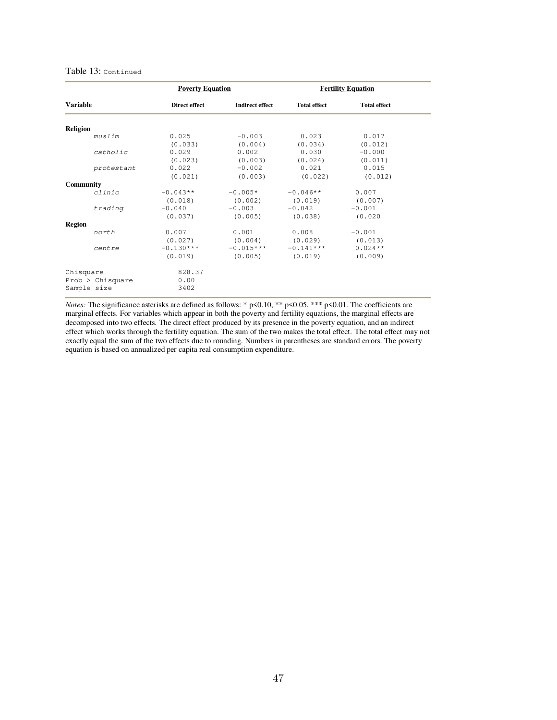#### Table 13: Continued

|                          |                  | <b>Poverty Equation</b> |                        | <b>Fertility Equation</b> |                      |  |
|--------------------------|------------------|-------------------------|------------------------|---------------------------|----------------------|--|
| <b>Variable</b>          |                  | Direct effect           | <b>Indirect effect</b> | <b>Total effect</b>       | <b>Total effect</b>  |  |
| <b>Religion</b>          |                  |                         |                        |                           |                      |  |
|                          | muslim           | 0.025<br>(0.033)        | $-0.003$<br>(0.004)    | 0.023<br>(0.034)          | 0.017<br>(0.012)     |  |
|                          | catholic         | 0.029<br>(0.023)        | 0.002<br>(0.003)       | 0.030<br>(0.024)          | $-0.000$<br>(0.011)  |  |
|                          | protestant       | 0.022<br>(0.021)        | $-0.002$<br>(0.003)    | 0.021<br>(0.022)          | 0.015<br>(0.012)     |  |
| Community                | clinic           | $-0.043**$<br>(0.018)   | $-0.005*$<br>(0.002)   | $-0.046**$<br>(0.019)     | 0.007<br>(0.007)     |  |
|                          | trading          | $-0.040$<br>(0.037)     | $-0.003$<br>(0.005)    | $-0.042$<br>(0.038)       | $-0.001$<br>(0.020)  |  |
| <b>Region</b>            | north            | 0.007<br>(0.027)        | 0.001<br>(0.004)       | 0.008<br>(0.029)          | $-0.001$<br>(0.013)  |  |
|                          | centre           | $-0.130***$<br>(0.019)  | $-0.015***$<br>(0.005) | $-0.141***$<br>(0.019)    | $0.024**$<br>(0.009) |  |
| Chisquare<br>Sample size | Prob > Chisquare | 828.37<br>0.00<br>3402  |                        |                           |                      |  |

*Notes:* The significance asterisks are defined as follows: \* p<0.10, \*\* p<0.05, \*\*\* p<0.01. The coefficients are marginal effects. For variables which appear in both the poverty and fertility equations, the marginal effects are decomposed into two effects. The direct effect produced by its presence in the poverty equation, and an indirect effect which works through the fertility equation. The sum of the two makes the total effect. The total effect may not exactly equal the sum of the two effects due to rounding. Numbers in parentheses are standard errors. The poverty equation is based on annualized per capita real consumption expenditure.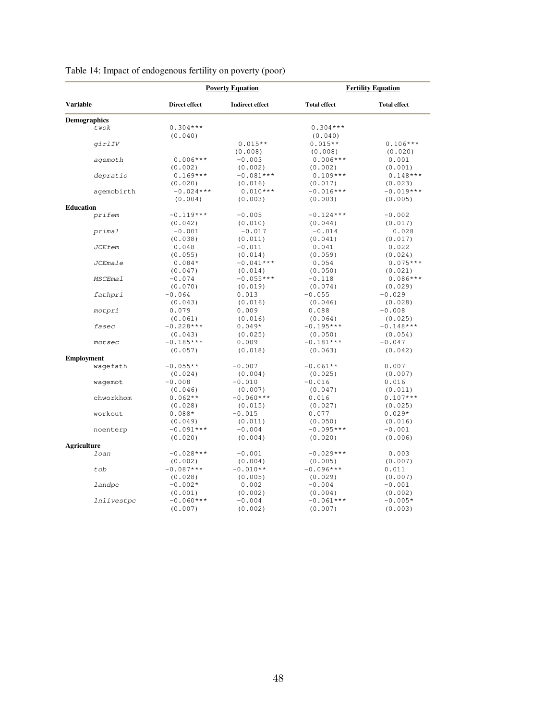|                     |               | <b>Poverty Equation</b> |                     | <b>Fertility Equation</b> |  |  |
|---------------------|---------------|-------------------------|---------------------|---------------------------|--|--|
| <b>Variable</b>     | Direct effect | <b>Indirect effect</b>  | <b>Total effect</b> | <b>Total effect</b>       |  |  |
| <b>Demographics</b> |               |                         |                     |                           |  |  |
| twok                | $0.304***$    |                         | $0.304***$          |                           |  |  |
|                     | (0.040)       |                         | (0.040)             |                           |  |  |
| girlIV              |               | $0.015**$               | $0.015**$           | $0.106***$                |  |  |
|                     |               | (0.008)                 | (0.008)             | (0.020)                   |  |  |
| agemoth             | $0.006***$    | $-0.003$                | $0.006***$          | 0.001                     |  |  |
|                     | (0.002)       | (0.002)                 | (0.002)             | (0.001)                   |  |  |
| depratio            | $0.169***$    | $-0.081***$             | $0.109***$          | $0.148***$                |  |  |
|                     | (0.020)       | (0.016)                 | (0.017)             | (0.023)                   |  |  |
| agemobirth          | $-0.024***$   | $0.010***$              | $-0.016***$         | $-0.019***$               |  |  |
|                     | (0.004)       | (0.003)                 | (0.003)             | (0.005)                   |  |  |
| Education           |               |                         |                     |                           |  |  |
| prifem              | $-0.119***$   | $-0.005$                | $-0.124***$         | $-0.002$                  |  |  |
|                     | (0.042)       | (0.010)                 | (0.044)             | (0.017)                   |  |  |
| primal              | $-0.001$      | $-0.017$                | $-0.014$            | 0.028                     |  |  |
|                     | (0.038)       | (0.011)                 | (0.041)             | (0.017)                   |  |  |
| <b>JCEfem</b>       | 0.048         | $-0.011$                | 0.041               | 0.022                     |  |  |
|                     | (0.055)       | (0.014)                 | (0.059)             | (0.024)                   |  |  |
| <b>JCEmale</b>      | $0.084*$      | $-0.041***$             | 0.054               | $0.075***$                |  |  |
|                     | (0.047)       | (0.014)                 | (0.050)             | (0.021)                   |  |  |
| <b>MSCEmal</b>      | $-0.074$      | $-0.055***$             | $-0.118$            | $0.086***$                |  |  |
|                     | (0.070)       | (0.019)                 | (0.074)             | (0.029)                   |  |  |
| fathpri             | $-0.064$      | 0.013                   | $-0.055$            | $-0.029$                  |  |  |
|                     | (0.043)       | (0.016)                 | (0.046)             | (0.028)                   |  |  |
|                     |               | 0.009                   |                     | $-0.008$                  |  |  |
| motpri              | 0.079         |                         | 0.088               |                           |  |  |
|                     | (0.061)       | (0.016)                 | (0.064)             | (0.025)                   |  |  |
| fasec               | $-0.228***$   | $0.049*$                | $-0.195***$         | $-0.148***$               |  |  |
|                     | (0.043)       | (0.025)                 | (0.050)             | (0.054)                   |  |  |
| motsec              | $-0.185***$   | 0.009                   | $-0.181***$         | $-0.047$                  |  |  |
|                     | (0.057)       | (0.018)                 | (0.063)             | (0.042)                   |  |  |
| <b>Employment</b>   |               |                         |                     |                           |  |  |
| waqefath            | $-0.055**$    | $-0.007$                | $-0.061**$          | 0.007                     |  |  |
|                     | (0.024)       | (0.004)                 | (0.025)             | (0.007)                   |  |  |
| wagemot             | $-0.008$      | $-0.010$                | $-0.016$            | 0.016                     |  |  |
|                     | (0.046)       | (0.007)                 | (0.047)             | (0.011)                   |  |  |
| chworkhom           | $0.062**$     | $-0.060***$             | 0.016               | $0.107***$                |  |  |
|                     | (0.028)       | (0.015)                 | (0.027)             | (0.025)                   |  |  |
| workout             | $0.088*$      | $-0.015$                | 0.077               | $0.029*$                  |  |  |
|                     | (0.049)       | (0.011)                 | (0.050)             | (0.016)                   |  |  |
| noenterp            | $-0.091***$   | $-0.004$                | $-0.095***$         | $-0.001$                  |  |  |
|                     | (0.020)       | (0.004)                 | (0.020)             | (0.006)                   |  |  |
| <b>Agriculture</b>  |               |                         |                     |                           |  |  |
| loan                | $-0.028***$   | $-0.001$                | $-0.029***$         | 0.003                     |  |  |
|                     | (0.002)       | (0.004)                 | (0.005)             | (0.007)                   |  |  |
| tob                 | $-0.087***$   | $-0.010**$              | $-0.096***$         | 0.011                     |  |  |
|                     | (0.028)       | (0.005)                 | (0.029)             | (0.007)                   |  |  |
| landpc              | $-0.002*$     | 0.002                   | $-0.004$            | $-0.001$                  |  |  |
|                     | (0.001)       | (0.002)                 | (0.004)             | (0.002)                   |  |  |
| <i>lnlivestpc</i>   | $-0.060***$   | $-0.004$                | $-0.061***$         | $-0.005*$                 |  |  |
|                     | (0.007)       | (0.002)                 | (0.007)             | (0.003)                   |  |  |

### Table 14: Impact of endogenous fertility on poverty (poor)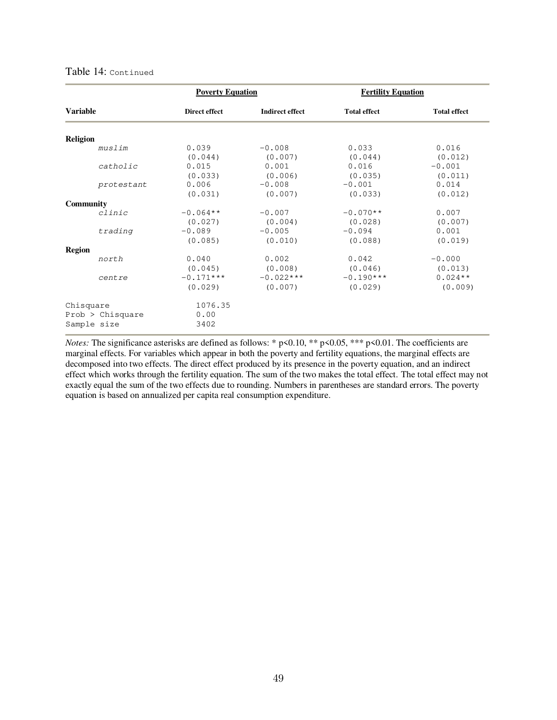#### Table 14: Continued

|                  |                  | <b>Poverty Equation</b>           |                                 | <b>Fertility Equation</b>         |                           |
|------------------|------------------|-----------------------------------|---------------------------------|-----------------------------------|---------------------------|
| <b>Variable</b>  |                  | Direct effect                     | <b>Indirect effect</b>          | <b>Total effect</b>               | <b>Total effect</b>       |
| <b>Religion</b>  |                  |                                   |                                 |                                   |                           |
|                  | muslim           | 0.039<br>(0.044)                  | $-0.008$<br>(0.007)             | 0.033<br>(0.044)                  | 0.016<br>(0.012)          |
|                  | catholic         | 0.015<br>(0.033)                  | 0.001<br>(0.006)                | 0.016<br>(0.035)                  | $-0.001$<br>(0.011)       |
|                  | protestant       | 0.006<br>(0.031)                  | $-0.008$<br>(0.007)             | $-0.001$<br>(0.033)               | 0.014<br>(0.012)          |
| <b>Community</b> |                  |                                   |                                 |                                   |                           |
|                  | clinc<br>trading | $-0.064**$<br>(0.027)<br>$-0.089$ | $-0.007$<br>(0.004)<br>$-0.005$ | $-0.070**$<br>(0.028)<br>$-0.094$ | 0.007<br>(0.007)<br>0.001 |
| <b>Region</b>    |                  | (0.085)                           | (0.010)                         | (0.088)                           | (0.019)                   |
|                  | north            | 0.040<br>(0.045)                  | 0.002<br>(0.008)                | 0.042<br>(0.046)                  | $-0.000$<br>(0.013)       |
|                  | centre           | $-0.171***$<br>(0.029)            | $-0.022***$<br>(0.007)          | $-0.190***$<br>(0.029)            | $0.024**$<br>(0.009)      |
| Chisquare        |                  | 1076.35                           |                                 |                                   |                           |
| Sample size      | Prob > Chisquare | 0.00<br>3402                      |                                 |                                   |                           |

*Notes:* The significance asterisks are defined as follows: \* p<0.10, \*\* p<0.05, \*\*\* p<0.01. The coefficients are marginal effects. For variables which appear in both the poverty and fertility equations, the marginal effects are decomposed into two effects. The direct effect produced by its presence in the poverty equation, and an indirect effect which works through the fertility equation. The sum of the two makes the total effect. The total effect may not exactly equal the sum of the two effects due to rounding. Numbers in parentheses are standard errors. The poverty equation is based on annualized per capita real consumption expenditure.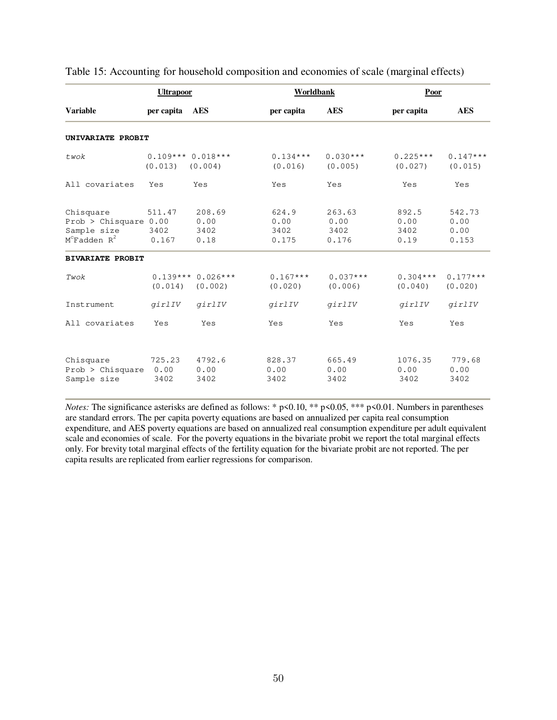|                                                                           | <b>Ultrapoor</b>              |                                | Worldbank                      |                                 | Poor                          |                                 |
|---------------------------------------------------------------------------|-------------------------------|--------------------------------|--------------------------------|---------------------------------|-------------------------------|---------------------------------|
| <b>Variable</b>                                                           | per capita                    | <b>AES</b>                     | per capita                     | <b>AES</b>                      | per capita                    | <b>AES</b>                      |
| UNIVARIATE PROBIT                                                         |                               |                                |                                |                                 |                               |                                 |
| twok                                                                      | $0.109***0.018***$<br>(0.013) | (0.004)                        | $0.134***$<br>(0.016)          | $0.030***$<br>(0.005)           | $0.225***$<br>(0.027)         | $0.147***$<br>(0.015)           |
| All covariates                                                            | Yes                           | Yes                            | Yes                            | Yes                             | Yes                           | Yes                             |
| Chisquare<br>Prob > Chisquare $0.00$<br>Sample size<br>$M^c$ Fadden $R^2$ | 511.47<br>3402<br>0.167       | 208.69<br>0.00<br>3402<br>0.18 | 624.9<br>0.00<br>3402<br>0.175 | 263.63<br>0.00<br>3402<br>0.176 | 892.5<br>0.00<br>3402<br>0.19 | 542.73<br>0.00<br>0.00<br>0.153 |
| <b>BIVARIATE PROBIT</b>                                                   |                               |                                |                                |                                 |                               |                                 |
| Twok                                                                      | (0.014)                       | $0.139***0.026***$<br>(0.002)  | $0.167***$<br>(0.020)          | $0.037***$<br>(0.006)           | $0.304***$<br>(0.040)         | $0.177***$<br>(0.020)           |
| Instrument                                                                | girlIV                        | girlIV                         | girlIV                         | girlIV                          | girlIV                        | girlIV                          |
| All covariates                                                            | Yes                           | Yes                            | Yes                            | Yes                             | Yes                           | Yes                             |
| Chisquare<br>Prob > Chisquare<br>Sample size                              | 725.23<br>0.00<br>3402        | 4792.6<br>0.00<br>3402         | 828.37<br>0.00<br>3402         | 665.49<br>0.00<br>3402          | 1076.35<br>0.00<br>3402       | 779.68<br>0.00<br>3402          |

Table 15: Accounting for household composition and economies of scale (marginal effects)

*Notes:* The significance asterisks are defined as follows: \* p<0.10, \*\* p<0.05, \*\*\* p<0.01. Numbers in parentheses are standard errors. The per capita poverty equations are based on annualized per capita real consumption expenditure, and AES poverty equations are based on annualized real consumption expenditure per adult equivalent scale and economies of scale. For the poverty equations in the bivariate probit we report the total marginal effects only. For brevity total marginal effects of the fertility equation for the bivariate probit are not reported. The per capita results are replicated from earlier regressions for comparison.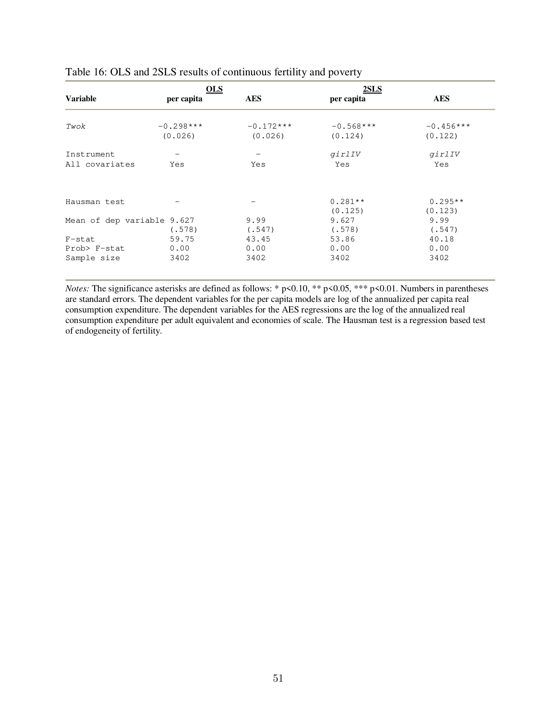|                            | <b>OLS</b>  |             | <b>2SLS</b> |             |
|----------------------------|-------------|-------------|-------------|-------------|
| <b>Variable</b>            | per capita  | <b>AES</b>  | per capita  | <b>AES</b>  |
| Twok                       | $-0.298***$ | $-0.172***$ | $-0.568***$ | $-0.456***$ |
|                            | (0.026)     | (0.026)     | (0.124)     | (0.122)     |
| Instrument                 |             |             | girlIV      | girlIV      |
| All covariates             | Yes         | Yes         | Yes         | Yes         |
| Hausman test               |             |             | $0.281**$   | $0.295**$   |
|                            |             |             | (0.125)     | (0.123)     |
| Mean of dep variable 9.627 |             | 9.99        | 9.627       | 9.99        |
|                            | (.578)      | (.547)      | (.578)      | (.547)      |
| F-stat                     | 59.75       | 43.45       | 53.86       | 40.18       |
| Prob> F-stat               | 0.00        | 0.00        | 0.00        | 0.00        |
| Sample size                | 3402        | 3402        | 3402        | 3402        |

### Table 16: OLS and 2SLS results of continuous fertility and poverty

*Notes:* The significance asterisks are defined as follows: \* p<0.10, \*\* p<0.05, \*\*\* p<0.01. Numbers in parentheses are standard errors. The dependent variables for the per capita models are log of the annualized per capita real consumption expenditure. The dependent variables for the AES regressions are the log of the annualized real consumption expenditure per adult equivalent and economies of scale. The Hausman test is a regression based test of endogeneity of fertility.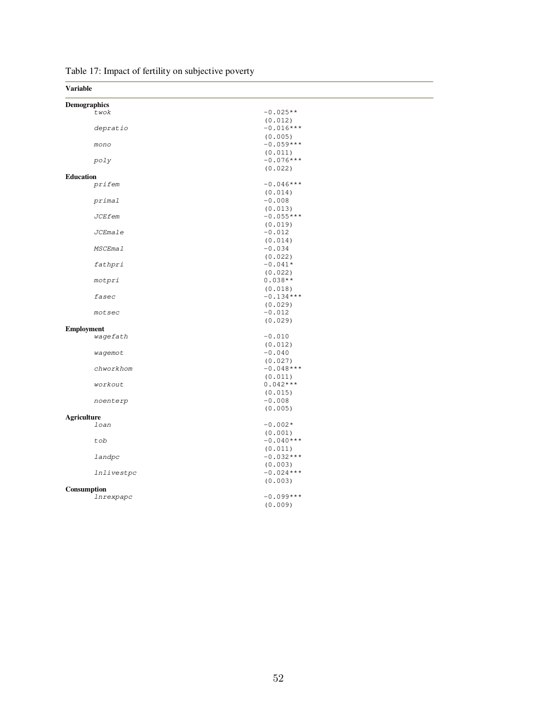| <b>Variable</b>     |                        |  |
|---------------------|------------------------|--|
| <b>Demographics</b> |                        |  |
| twok                | $-0.025**$             |  |
|                     | (0.012)                |  |
| depratio            | $-0.016***$            |  |
|                     | (0.005)                |  |
| mono                | $-0.059***$            |  |
|                     | (0.011)                |  |
| poly                | $-0.076***$            |  |
|                     | (0.022)                |  |
| <b>Education</b>    |                        |  |
| prifem              | $-0.046***$            |  |
|                     | (0.014)                |  |
| primal              | $-0.008$               |  |
|                     | (0.013)                |  |
| <b>JCEfem</b>       | $-0.055***$            |  |
|                     | (0.019)                |  |
| JCEmale             | $-0.012$               |  |
| MSCEmal             | (0.014)                |  |
|                     | $-0.034$               |  |
|                     | (0.022)                |  |
| fathpri             | $-0.041*$              |  |
|                     | (0.022)                |  |
| motpri              | $0.038**$              |  |
| fasec               | (0.018)<br>$-0.134***$ |  |
|                     |                        |  |
| motsec              | (0.029)<br>$-0.012$    |  |
|                     | (0.029)                |  |
| <b>Employment</b>   |                        |  |
| wagefath            | $-0.010$               |  |
|                     | (0.012)                |  |
| wagemot             | $-0.040$               |  |
|                     | (0.027)                |  |
| chworkhom           | $-0.048***$            |  |
|                     | (0.011)                |  |
| workout             | $0.042***$             |  |
|                     | (0.015)                |  |
| noenterp            | $-0.008$               |  |
|                     | (0.005)                |  |
| <b>Agriculture</b>  |                        |  |
| loan                | $-0.002*$              |  |
|                     | (0.001)                |  |
| tob                 | $-0.040***$            |  |
|                     | (0.011)                |  |
| landpc              | $-0.032***$            |  |
|                     | (0.003)                |  |
| <i>lnlivestpc</i>   | $-0.024***$            |  |
|                     | (0.003)                |  |
| Consumption         |                        |  |
| lnrexpapc           | $-0.099***$            |  |
|                     | (0.009)                |  |
|                     |                        |  |

Table 17: Impact of fertility on subjective poverty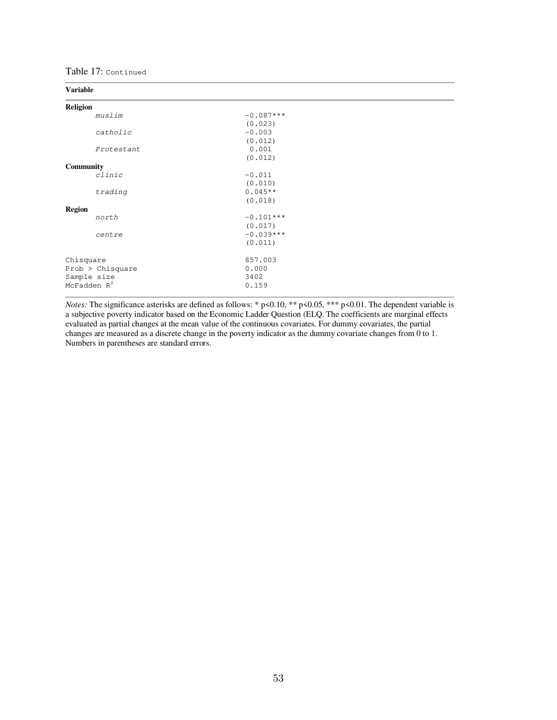Table 17: Continued

#### **Variable**

| Religion         |             |  |
|------------------|-------------|--|
| muslim           | $-0.087***$ |  |
|                  | (0.023)     |  |
| catholic         | $-0.003$    |  |
|                  | (0.012)     |  |
| Protestant       | 0.001       |  |
|                  | (0.012)     |  |
| <b>Community</b> |             |  |
| clinic           | $-0.011$    |  |
|                  | (0.010)     |  |
| trading          | $0.045**$   |  |
|                  | (0.018)     |  |
| <b>Region</b>    |             |  |
| north            | $-0.101***$ |  |
|                  | (0.017)     |  |
| centre           | $-0.039***$ |  |
|                  | (0.011)     |  |
| Chisquare        | 857.003     |  |
| Prob > Chisquare | 0.000       |  |
| Sample size      | 3402        |  |
| McFadden $R^2$   | 0.159       |  |
|                  |             |  |

*Notes:* The significance asterisks are defined as follows: \* p<0.10, \*\* p<0.05, \*\*\* p<0.01. The dependent variable is a subjective poverty indicator based on the Economic Ladder Question (ELQ. The coefficients are marginal effects evaluated as partial changes at the mean value of the continuous covariates. For dummy covariates, the partial changes are measured as a discrete change in the poverty indicator as the dummy covariate changes from 0 to 1. Numbers in parentheses are standard errors.